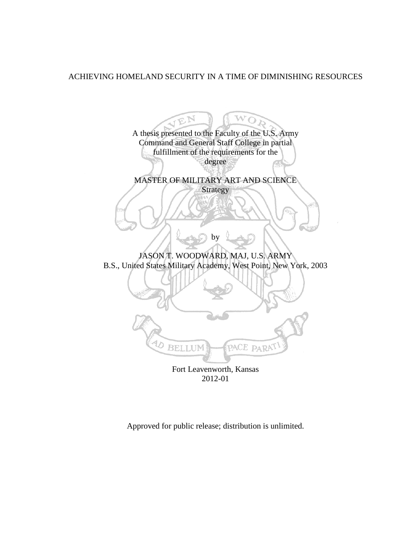# ACHIEVING HOMELAND SECURITY IN A TIME OF DIMINISHING RESOURCES

 $\mathbf{w_{O}}$  $\mathfrak{D}$ A thesis presented to the Faculty of the U.S. Army Command and General Staff College in partial fulfillment of the requirements for the degree MASTER OF MILITARY ART AND SCIENCE Strategy by JASON T. WOODWARD, MAJ, U.S. ARMY B.S., United States Military Academy, West Point, New York, 2003 PACE PARAT **BELLUM** Fort Leavenworth, Kansas 2012-01

Approved for public release; distribution is unlimited.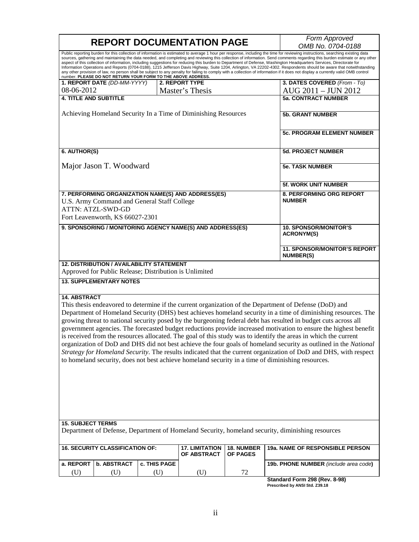| <b>REPORT DOCUMENTATION PAGE</b>                                                                                                                                                                                                                                                                                                                                                                                                                                                                                                                                                                                                                                                                                                                                                                                                                                                                                                                      |                   |              |                                      |                               | Form Approved                                                                                                                                                                                                                                                                                                                                                                                                                                                                                                                                                                                                                                                                                                                                                                                                                                                                                     |  |  |
|-------------------------------------------------------------------------------------------------------------------------------------------------------------------------------------------------------------------------------------------------------------------------------------------------------------------------------------------------------------------------------------------------------------------------------------------------------------------------------------------------------------------------------------------------------------------------------------------------------------------------------------------------------------------------------------------------------------------------------------------------------------------------------------------------------------------------------------------------------------------------------------------------------------------------------------------------------|-------------------|--------------|--------------------------------------|-------------------------------|---------------------------------------------------------------------------------------------------------------------------------------------------------------------------------------------------------------------------------------------------------------------------------------------------------------------------------------------------------------------------------------------------------------------------------------------------------------------------------------------------------------------------------------------------------------------------------------------------------------------------------------------------------------------------------------------------------------------------------------------------------------------------------------------------------------------------------------------------------------------------------------------------|--|--|
|                                                                                                                                                                                                                                                                                                                                                                                                                                                                                                                                                                                                                                                                                                                                                                                                                                                                                                                                                       | OMB No. 0704-0188 |              |                                      |                               |                                                                                                                                                                                                                                                                                                                                                                                                                                                                                                                                                                                                                                                                                                                                                                                                                                                                                                   |  |  |
| number. PLEASE DO NOT RETURN YOUR FORM TO THE ABOVE ADDRESS.                                                                                                                                                                                                                                                                                                                                                                                                                                                                                                                                                                                                                                                                                                                                                                                                                                                                                          |                   |              |                                      |                               | Public reporting burden for this collection of information is estimated to average 1 hour per response, including the time for reviewing instructions, searching existing data<br>sources, gathering and maintaining the data needed, and completing and reviewing this collection of information. Send comments regarding this burden estimate or any other<br>aspect of this collection of information, including suggestions for reducing this burden to Department of Defense, Washington Headquarters Services, Directorate for<br>Information Operations and Reports (0704-0188), 1215 Jefferson Davis Highway, Suite 1204, Arlington, VA 22202-4302. Respondents should be aware that notwithstanding<br>any other provision of law, no person shall be subject to any penalty for failing to comply with a collection of information if it does not display a currently valid OMB control |  |  |
| 1. REPORT DATE (DD-MM-YYYY)                                                                                                                                                                                                                                                                                                                                                                                                                                                                                                                                                                                                                                                                                                                                                                                                                                                                                                                           |                   |              | 2. REPORT TYPE                       |                               | 3. DATES COVERED (From - To)                                                                                                                                                                                                                                                                                                                                                                                                                                                                                                                                                                                                                                                                                                                                                                                                                                                                      |  |  |
| 08-06-2012                                                                                                                                                                                                                                                                                                                                                                                                                                                                                                                                                                                                                                                                                                                                                                                                                                                                                                                                            |                   |              | Master's Thesis                      |                               | AUG 2011 - JUN 2012                                                                                                                                                                                                                                                                                                                                                                                                                                                                                                                                                                                                                                                                                                                                                                                                                                                                               |  |  |
| <b>4. TITLE AND SUBTITLE</b>                                                                                                                                                                                                                                                                                                                                                                                                                                                                                                                                                                                                                                                                                                                                                                                                                                                                                                                          |                   |              |                                      |                               | <b>5a. CONTRACT NUMBER</b>                                                                                                                                                                                                                                                                                                                                                                                                                                                                                                                                                                                                                                                                                                                                                                                                                                                                        |  |  |
|                                                                                                                                                                                                                                                                                                                                                                                                                                                                                                                                                                                                                                                                                                                                                                                                                                                                                                                                                       |                   |              |                                      |                               |                                                                                                                                                                                                                                                                                                                                                                                                                                                                                                                                                                                                                                                                                                                                                                                                                                                                                                   |  |  |
| Achieving Homeland Security In a Time of Diminishing Resources                                                                                                                                                                                                                                                                                                                                                                                                                                                                                                                                                                                                                                                                                                                                                                                                                                                                                        |                   |              |                                      |                               | <b>5b. GRANT NUMBER</b>                                                                                                                                                                                                                                                                                                                                                                                                                                                                                                                                                                                                                                                                                                                                                                                                                                                                           |  |  |
|                                                                                                                                                                                                                                                                                                                                                                                                                                                                                                                                                                                                                                                                                                                                                                                                                                                                                                                                                       |                   |              |                                      |                               | <b>5c. PROGRAM ELEMENT NUMBER</b>                                                                                                                                                                                                                                                                                                                                                                                                                                                                                                                                                                                                                                                                                                                                                                                                                                                                 |  |  |
| 6. AUTHOR(S)                                                                                                                                                                                                                                                                                                                                                                                                                                                                                                                                                                                                                                                                                                                                                                                                                                                                                                                                          |                   |              |                                      |                               | <b>5d. PROJECT NUMBER</b>                                                                                                                                                                                                                                                                                                                                                                                                                                                                                                                                                                                                                                                                                                                                                                                                                                                                         |  |  |
| Major Jason T. Woodward                                                                                                                                                                                                                                                                                                                                                                                                                                                                                                                                                                                                                                                                                                                                                                                                                                                                                                                               |                   |              |                                      |                               | <b>5e. TASK NUMBER</b>                                                                                                                                                                                                                                                                                                                                                                                                                                                                                                                                                                                                                                                                                                                                                                                                                                                                            |  |  |
|                                                                                                                                                                                                                                                                                                                                                                                                                                                                                                                                                                                                                                                                                                                                                                                                                                                                                                                                                       |                   |              |                                      |                               | 5f. WORK UNIT NUMBER                                                                                                                                                                                                                                                                                                                                                                                                                                                                                                                                                                                                                                                                                                                                                                                                                                                                              |  |  |
| 7. PERFORMING ORGANIZATION NAME(S) AND ADDRESS(ES)<br>U.S. Army Command and General Staff College<br><b>ATTN: ATZL-SWD-GD</b><br>Fort Leavenworth, KS 66027-2301                                                                                                                                                                                                                                                                                                                                                                                                                                                                                                                                                                                                                                                                                                                                                                                      |                   |              |                                      |                               | 8. PERFORMING ORG REPORT<br><b>NUMBER</b>                                                                                                                                                                                                                                                                                                                                                                                                                                                                                                                                                                                                                                                                                                                                                                                                                                                         |  |  |
| 9. SPONSORING / MONITORING AGENCY NAME(S) AND ADDRESS(ES)                                                                                                                                                                                                                                                                                                                                                                                                                                                                                                                                                                                                                                                                                                                                                                                                                                                                                             |                   |              |                                      |                               | <b>10. SPONSOR/MONITOR'S</b><br><b>ACRONYM(S)</b>                                                                                                                                                                                                                                                                                                                                                                                                                                                                                                                                                                                                                                                                                                                                                                                                                                                 |  |  |
|                                                                                                                                                                                                                                                                                                                                                                                                                                                                                                                                                                                                                                                                                                                                                                                                                                                                                                                                                       |                   |              |                                      |                               | 11. SPONSOR/MONITOR'S REPORT<br><b>NUMBER(S)</b>                                                                                                                                                                                                                                                                                                                                                                                                                                                                                                                                                                                                                                                                                                                                                                                                                                                  |  |  |
| <b>12. DISTRIBUTION / AVAILABILITY STATEMENT</b><br>Approved for Public Release; Distribution is Unlimited                                                                                                                                                                                                                                                                                                                                                                                                                                                                                                                                                                                                                                                                                                                                                                                                                                            |                   |              |                                      |                               |                                                                                                                                                                                                                                                                                                                                                                                                                                                                                                                                                                                                                                                                                                                                                                                                                                                                                                   |  |  |
| <b>13. SUPPLEMENTARY NOTES</b>                                                                                                                                                                                                                                                                                                                                                                                                                                                                                                                                                                                                                                                                                                                                                                                                                                                                                                                        |                   |              |                                      |                               |                                                                                                                                                                                                                                                                                                                                                                                                                                                                                                                                                                                                                                                                                                                                                                                                                                                                                                   |  |  |
| <b>14. ABSTRACT</b><br>This thesis endeavored to determine if the current organization of the Department of Defense (DoD) and<br>Department of Homeland Security (DHS) best achieves homeland security in a time of diminishing resources. The<br>growing threat to national security posed by the burgeoning federal debt has resulted in budget cuts across all<br>government agencies. The forecasted budget reductions provide increased motivation to ensure the highest benefit<br>is received from the resources allocated. The goal of this study was to identify the areas in which the current<br>organization of DoD and DHS did not best achieve the four goals of homeland security as outlined in the National<br>Strategy for Homeland Security. The results indicated that the current organization of DoD and DHS, with respect<br>to homeland security, does not best achieve homeland security in a time of diminishing resources. |                   |              |                                      |                               |                                                                                                                                                                                                                                                                                                                                                                                                                                                                                                                                                                                                                                                                                                                                                                                                                                                                                                   |  |  |
| <b>15. SUBJECT TERMS</b>                                                                                                                                                                                                                                                                                                                                                                                                                                                                                                                                                                                                                                                                                                                                                                                                                                                                                                                              |                   |              |                                      |                               | Department of Defense, Department of Homeland Security, homeland security, diminishing resources                                                                                                                                                                                                                                                                                                                                                                                                                                                                                                                                                                                                                                                                                                                                                                                                  |  |  |
| <b>16. SECURITY CLASSIFICATION OF:</b>                                                                                                                                                                                                                                                                                                                                                                                                                                                                                                                                                                                                                                                                                                                                                                                                                                                                                                                |                   |              | <b>17. LIMITATION</b><br>OF ABSTRACT | 18. NUMBER<br><b>OF PAGES</b> | 19a. NAME OF RESPONSIBLE PERSON                                                                                                                                                                                                                                                                                                                                                                                                                                                                                                                                                                                                                                                                                                                                                                                                                                                                   |  |  |
| a. REPORT<br><b>b. ABSTRACT</b>                                                                                                                                                                                                                                                                                                                                                                                                                                                                                                                                                                                                                                                                                                                                                                                                                                                                                                                       |                   | c. THIS PAGE |                                      |                               | 19b. PHONE NUMBER (include area code)                                                                                                                                                                                                                                                                                                                                                                                                                                                                                                                                                                                                                                                                                                                                                                                                                                                             |  |  |
| (U)<br>(U)                                                                                                                                                                                                                                                                                                                                                                                                                                                                                                                                                                                                                                                                                                                                                                                                                                                                                                                                            |                   | (U)          | (U)                                  | 72                            |                                                                                                                                                                                                                                                                                                                                                                                                                                                                                                                                                                                                                                                                                                                                                                                                                                                                                                   |  |  |
|                                                                                                                                                                                                                                                                                                                                                                                                                                                                                                                                                                                                                                                                                                                                                                                                                                                                                                                                                       |                   |              |                                      |                               | Standard Form 298 (Rev. 8-98)                                                                                                                                                                                                                                                                                                                                                                                                                                                                                                                                                                                                                                                                                                                                                                                                                                                                     |  |  |

**Standard Form 298 (Rev. 8-98) Prescribed by ANSI Std. Z39.18**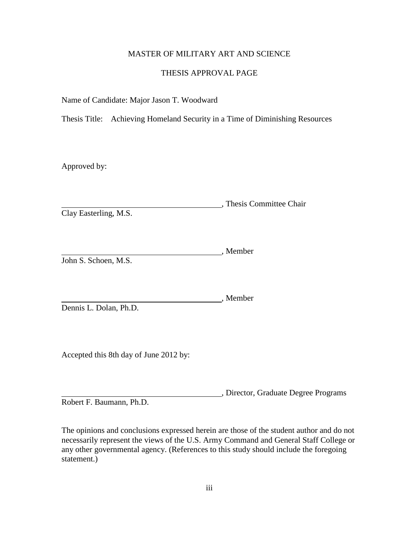# MASTER OF MILITARY ART AND SCIENCE

## THESIS APPROVAL PAGE

Name of Candidate: Major Jason T. Woodward

Thesis Title: Achieving Homeland Security in a Time of Diminishing Resources

Approved by:

, Thesis Committee Chair Clay Easterling, M.S.

Member John S. Schoen, M.S.

Member Dennis L. Dolan, Ph.D.

Accepted this 8th day of June 2012 by:

, Director, Graduate Degree Programs Robert F. Baumann, Ph.D.

The opinions and conclusions expressed herein are those of the student author and do not necessarily represent the views of the U.S. Army Command and General Staff College or any other governmental agency. (References to this study should include the foregoing statement.)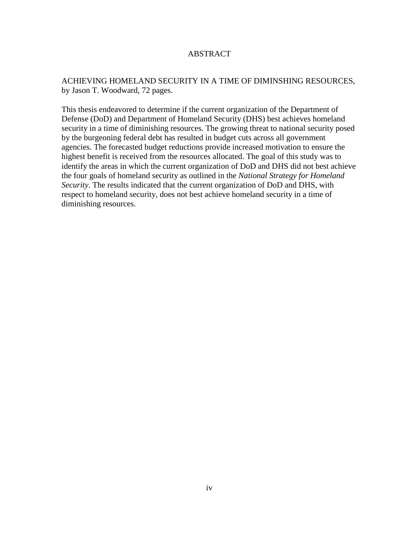# ABSTRACT

# ACHIEVING HOMELAND SECURITY IN A TIME OF DIMINSHING RESOURCES, by Jason T. Woodward, 72 pages.

This thesis endeavored to determine if the current organization of the Department of Defense (DoD) and Department of Homeland Security (DHS) best achieves homeland security in a time of diminishing resources. The growing threat to national security posed by the burgeoning federal debt has resulted in budget cuts across all government agencies. The forecasted budget reductions provide increased motivation to ensure the highest benefit is received from the resources allocated. The goal of this study was to identify the areas in which the current organization of DoD and DHS did not best achieve the four goals of homeland security as outlined in the *National Strategy for Homeland Security*. The results indicated that the current organization of DoD and DHS, with respect to homeland security, does not best achieve homeland security in a time of diminishing resources.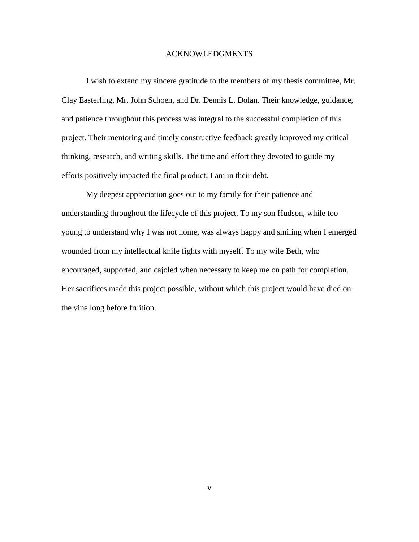## ACKNOWLEDGMENTS

I wish to extend my sincere gratitude to the members of my thesis committee, Mr. Clay Easterling, Mr. John Schoen, and Dr. Dennis L. Dolan. Their knowledge, guidance, and patience throughout this process was integral to the successful completion of this project. Their mentoring and timely constructive feedback greatly improved my critical thinking, research, and writing skills. The time and effort they devoted to guide my efforts positively impacted the final product; I am in their debt.

My deepest appreciation goes out to my family for their patience and understanding throughout the lifecycle of this project. To my son Hudson, while too young to understand why I was not home, was always happy and smiling when I emerged wounded from my intellectual knife fights with myself. To my wife Beth, who encouraged, supported, and cajoled when necessary to keep me on path for completion. Her sacrifices made this project possible, without which this project would have died on the vine long before fruition.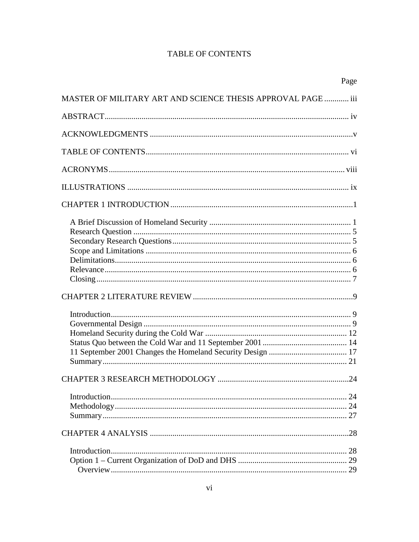# **TABLE OF CONTENTS**

|                                                                     | Page |
|---------------------------------------------------------------------|------|
| <b>MASTER OF MILITARY ART AND SCIENCE THESIS APPROVAL PAGE  iii</b> |      |
|                                                                     |      |
|                                                                     |      |
|                                                                     |      |
|                                                                     |      |
|                                                                     |      |
|                                                                     |      |
|                                                                     |      |
|                                                                     |      |
|                                                                     |      |
|                                                                     |      |
|                                                                     |      |
|                                                                     |      |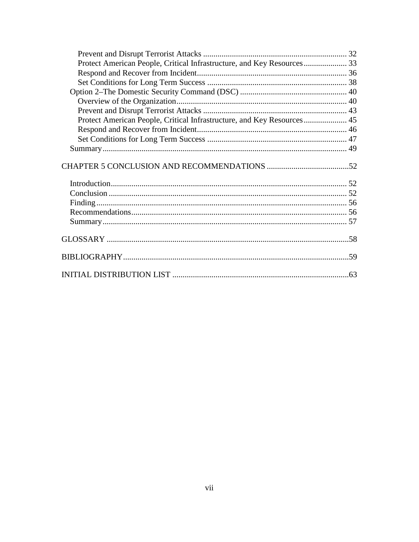| Protect American People, Critical Infrastructure, and Key Resources 33 |  |
|------------------------------------------------------------------------|--|
|                                                                        |  |
|                                                                        |  |
|                                                                        |  |
|                                                                        |  |
|                                                                        |  |
| Protect American People, Critical Infrastructure, and Key Resources 45 |  |
|                                                                        |  |
|                                                                        |  |
|                                                                        |  |
|                                                                        |  |
|                                                                        |  |
|                                                                        |  |
|                                                                        |  |
|                                                                        |  |
|                                                                        |  |
|                                                                        |  |
|                                                                        |  |
|                                                                        |  |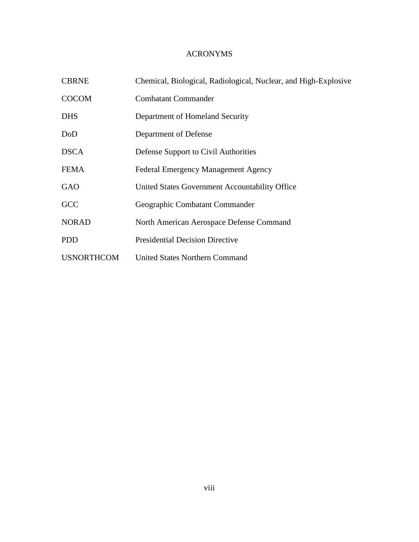# ACRONYMS

| <b>CBRNE</b>      | Chemical, Biological, Radiological, Nuclear, and High-Explosive |  |  |
|-------------------|-----------------------------------------------------------------|--|--|
| <b>COCOM</b>      | <b>Combatant Commander</b>                                      |  |  |
| <b>DHS</b>        | Department of Homeland Security                                 |  |  |
| DoD               | Department of Defense                                           |  |  |
| <b>DSCA</b>       | Defense Support to Civil Authorities                            |  |  |
| <b>FEMA</b>       | <b>Federal Emergency Management Agency</b>                      |  |  |
| GAO               | United States Government Accountability Office                  |  |  |
| GCC               | Geographic Combatant Commander                                  |  |  |
| <b>NORAD</b>      | North American Aerospace Defense Command                        |  |  |
| <b>PDD</b>        | <b>Presidential Decision Directive</b>                          |  |  |
| <b>USNORTHCOM</b> | <b>United States Northern Command</b>                           |  |  |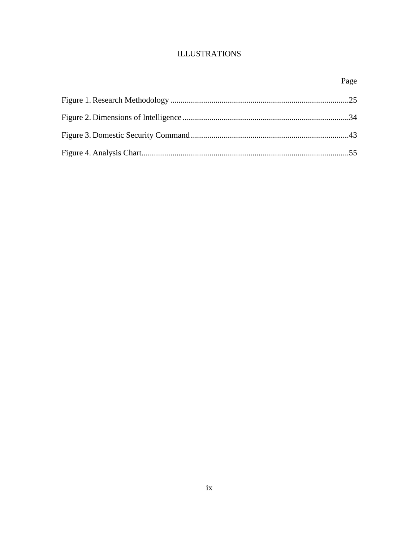# **ILLUSTRATIONS**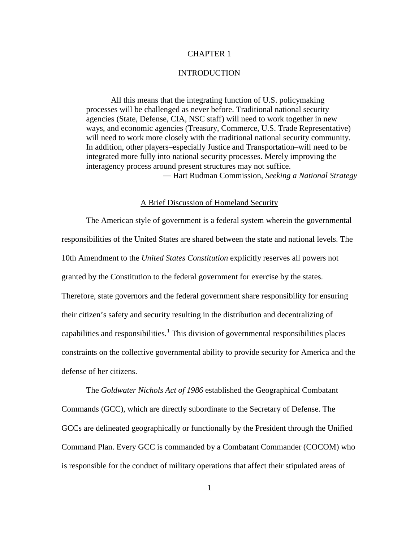## CHAPTER 1

## **INTRODUCTION**

All this means that the integrating function of U.S. policymaking processes will be challenged as never before. Traditional national security agencies (State, Defense, CIA, NSC staff) will need to work together in new ways, and economic agencies (Treasury, Commerce, U.S. Trade Representative) will need to work more closely with the traditional national security community. In addition, other players–especially Justice and Transportation–will need to be integrated more fully into national security processes. Merely improving the interagency process around present structures may not suffice. ― Hart Rudman Commission, *Seeking a National Strategy*

## A Brief Discussion of Homeland Security

The American style of government is a federal system wherein the governmental responsibilities of the United States are shared between the state and national levels. The 10th Amendment to the *United States Constitution* explicitly reserves all powers not granted by the Constitution to the federal government for exercise by the states. Therefore, state governors and the federal government share responsibility for ensuring their citizen's safety and security resulting in the distribution and decentralizing of capabilities and responsibilities. [1](#page-16-0) This division of governmental responsibilities places constraints on the collective governmental ability to provide security for America and the defense of her citizens.

The *Goldwater Nichols Act of 1986* established the Geographical Combatant Commands (GCC), which are directly subordinate to the Secretary of Defense. The GCCs are delineated geographically or functionally by the President through the Unified Command Plan. Every GCC is commanded by a Combatant Commander (COCOM) who is responsible for the conduct of military operations that affect their stipulated areas of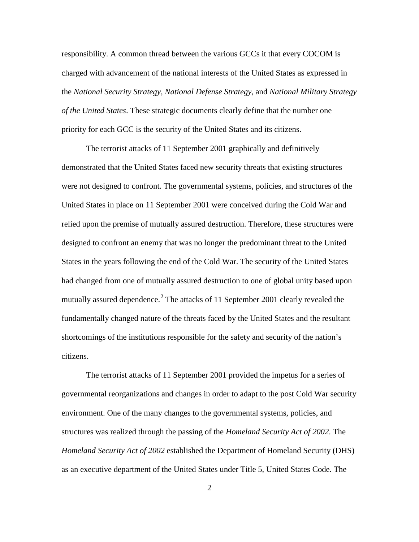responsibility. A common thread between the various GCCs it that every COCOM is charged with advancement of the national interests of the United States as expressed in the *National Security Strategy*, *National Defense Strategy*, and *National Military Strategy of the United States*. These strategic documents clearly define that the number one priority for each GCC is the security of the United States and its citizens.

The terrorist attacks of 11 September 2001 graphically and definitively demonstrated that the United States faced new security threats that existing structures were not designed to confront. The governmental systems, policies, and structures of the United States in place on 11 September 2001 were conceived during the Cold War and relied upon the premise of mutually assured destruction. Therefore, these structures were designed to confront an enemy that was no longer the predominant threat to the United States in the years following the end of the Cold War. The security of the United States had changed from one of mutually assured destruction to one of global unity based upon mutually assured dependence.<sup>[2](#page-17-0)</sup> The attacks of 11 September 2001 clearly revealed the fundamentally changed nature of the threats faced by the United States and the resultant shortcomings of the institutions responsible for the safety and security of the nation's citizens.

The terrorist attacks of 11 September 2001 provided the impetus for a series of governmental reorganizations and changes in order to adapt to the post Cold War security environment. One of the many changes to the governmental systems, policies, and structures was realized through the passing of the *Homeland Security Act of 2002*. The *Homeland Security Act of 2002* established the Department of Homeland Security (DHS) as an executive department of the United States under Title 5, United States Code. The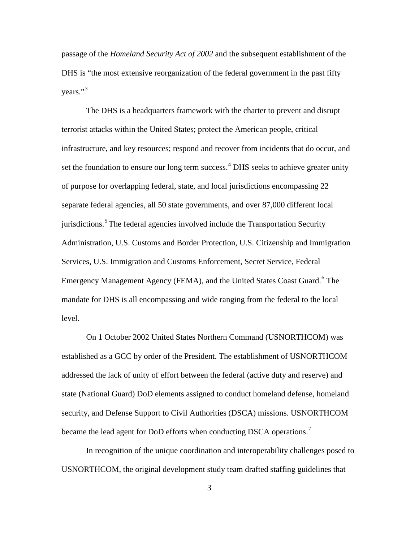passage of the *Homeland Security Act of 2002* and the subsequent establishment of the DHS is "the most extensive reorganization of the federal government in the past fifty vears." $3$ 

The DHS is a headquarters framework with the charter to prevent and disrupt terrorist attacks within the United States; protect the American people, critical infrastructure, and key resources; respond and recover from incidents that do occur, and set the foundation to ensure our long term success. [4](#page-18-1) DHS seeks to achieve greater unity of purpose for overlapping federal, state, and local jurisdictions encompassing 22 separate federal agencies, all 50 state governments, and over 87,000 different local jurisdictions.<sup>[5](#page-18-2)</sup> The federal agencies involved include the Transportation Security Administration, U.S. Customs and Border Protection, U.S. Citizenship and Immigration Services, U.S. Immigration and Customs Enforcement, Secret Service, Federal Emergency Management Agency (FEMA), and the United States Coast Guard.<sup>[6](#page-18-3)</sup> The mandate for DHS is all encompassing and wide ranging from the federal to the local level.

On 1 October 2002 United States Northern Command (USNORTHCOM) was established as a GCC by order of the President. The establishment of USNORTHCOM addressed the lack of unity of effort between the federal (active duty and reserve) and state (National Guard) DoD elements assigned to conduct homeland defense, homeland security, and Defense Support to Civil Authorities (DSCA) missions. USNORTHCOM became the lead agent for DoD efforts when conducting DSCA operations.<sup>[7](#page-18-4)</sup>

In recognition of the unique coordination and interoperability challenges posed to USNORTHCOM, the original development study team drafted staffing guidelines that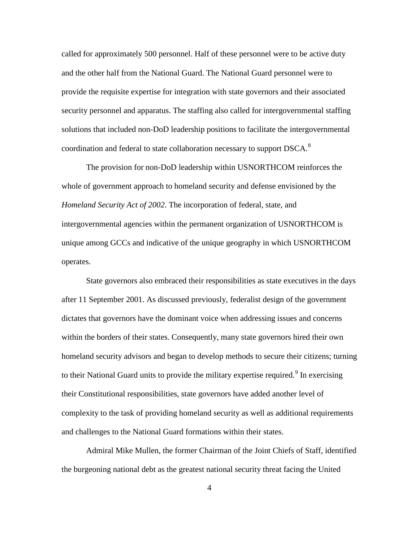called for approximately 500 personnel. Half of these personnel were to be active duty and the other half from the National Guard. The National Guard personnel were to provide the requisite expertise for integration with state governors and their associated security personnel and apparatus. The staffing also called for intergovernmental staffing solutions that included non-DoD leadership positions to facilitate the intergovernmental coordination and federal to state collaboration necessary to support DSCA.[8](#page-19-0)

The provision for non-DoD leadership within USNORTHCOM reinforces the whole of government approach to homeland security and defense envisioned by the *Homeland Security Act of 2002*. The incorporation of federal, state, and intergovernmental agencies within the permanent organization of USNORTHCOM is unique among GCCs and indicative of the unique geography in which USNORTHCOM operates.

State governors also embraced their responsibilities as state executives in the days after 11 September 2001. As discussed previously, federalist design of the government dictates that governors have the dominant voice when addressing issues and concerns within the borders of their states. Consequently, many state governors hired their own homeland security advisors and began to develop methods to secure their citizens; turning to their National Guard units to provide the military expertise required.<sup>[9](#page-19-1)</sup> In exercising their Constitutional responsibilities, state governors have added another level of complexity to the task of providing homeland security as well as additional requirements and challenges to the National Guard formations within their states.

Admiral Mike Mullen, the former Chairman of the Joint Chiefs of Staff, identified the burgeoning national debt as the greatest national security threat facing the United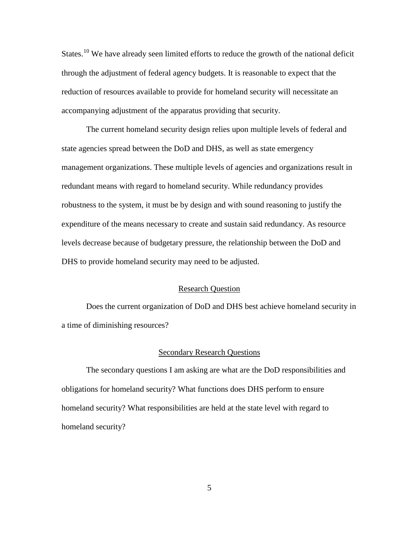States.<sup>[10](#page-20-0)</sup> We have already seen limited efforts to reduce the growth of the national deficit through the adjustment of federal agency budgets. It is reasonable to expect that the reduction of resources available to provide for homeland security will necessitate an accompanying adjustment of the apparatus providing that security.

The current homeland security design relies upon multiple levels of federal and state agencies spread between the DoD and DHS, as well as state emergency management organizations. These multiple levels of agencies and organizations result in redundant means with regard to homeland security. While redundancy provides robustness to the system, it must be by design and with sound reasoning to justify the expenditure of the means necessary to create and sustain said redundancy. As resource levels decrease because of budgetary pressure, the relationship between the DoD and DHS to provide homeland security may need to be adjusted.

#### Research Question

Does the current organization of DoD and DHS best achieve homeland security in a time of diminishing resources?

## Secondary Research Questions

The secondary questions I am asking are what are the DoD responsibilities and obligations for homeland security? What functions does DHS perform to ensure homeland security? What responsibilities are held at the state level with regard to homeland security?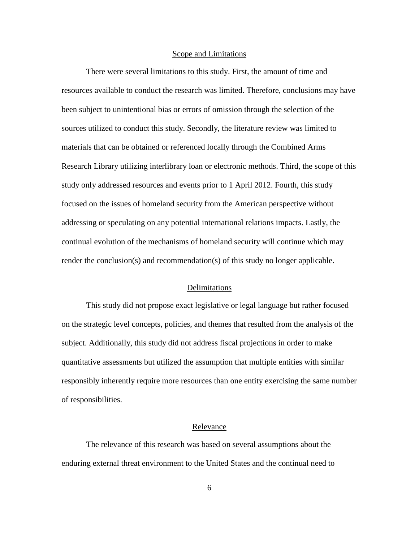# Scope and Limitations

There were several limitations to this study. First, the amount of time and resources available to conduct the research was limited. Therefore, conclusions may have been subject to unintentional bias or errors of omission through the selection of the sources utilized to conduct this study. Secondly, the literature review was limited to materials that can be obtained or referenced locally through the Combined Arms Research Library utilizing interlibrary loan or electronic methods. Third, the scope of this study only addressed resources and events prior to 1 April 2012. Fourth, this study focused on the issues of homeland security from the American perspective without addressing or speculating on any potential international relations impacts. Lastly, the continual evolution of the mechanisms of homeland security will continue which may render the conclusion(s) and recommendation(s) of this study no longer applicable.

## Delimitations

This study did not propose exact legislative or legal language but rather focused on the strategic level concepts, policies, and themes that resulted from the analysis of the subject. Additionally, this study did not address fiscal projections in order to make quantitative assessments but utilized the assumption that multiple entities with similar responsibly inherently require more resources than one entity exercising the same number of responsibilities.

## Relevance

The relevance of this research was based on several assumptions about the enduring external threat environment to the United States and the continual need to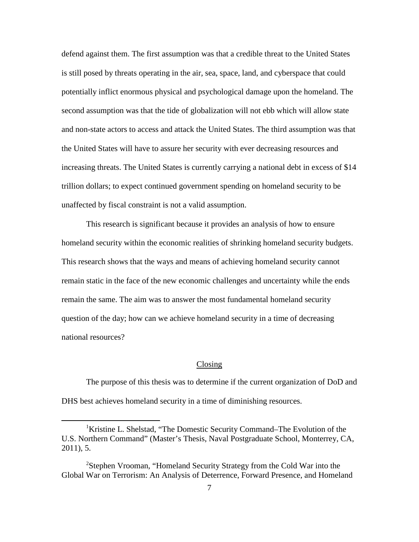defend against them. The first assumption was that a credible threat to the United States is still posed by threats operating in the air, sea, space, land, and cyberspace that could potentially inflict enormous physical and psychological damage upon the homeland. The second assumption was that the tide of globalization will not ebb which will allow state and non-state actors to access and attack the United States. The third assumption was that the United States will have to assure her security with ever decreasing resources and increasing threats. The United States is currently carrying a national debt in excess of \$14 trillion dollars; to expect continued government spending on homeland security to be unaffected by fiscal constraint is not a valid assumption.

This research is significant because it provides an analysis of how to ensure homeland security within the economic realities of shrinking homeland security budgets. This research shows that the ways and means of achieving homeland security cannot remain static in the face of the new economic challenges and uncertainty while the ends remain the same. The aim was to answer the most fundamental homeland security question of the day; how can we achieve homeland security in a time of decreasing national resources?

#### Closing

The purpose of this thesis was to determine if the current organization of DoD and DHS best achieves homeland security in a time of diminishing resources.

 $\overline{\phantom{a}}$ <sup>1</sup>Kristine L. Shelstad, "The Domestic Security Command–The Evolution of the U.S. Northern Command" (Master's Thesis, Naval Postgraduate School, Monterrey, CA, 2011), 5.

<sup>&</sup>lt;sup>2</sup>Stephen Vrooman, "Homeland Security Strategy from the Cold War into the Global War on Terrorism: An Analysis of Deterrence, Forward Presence, and Homeland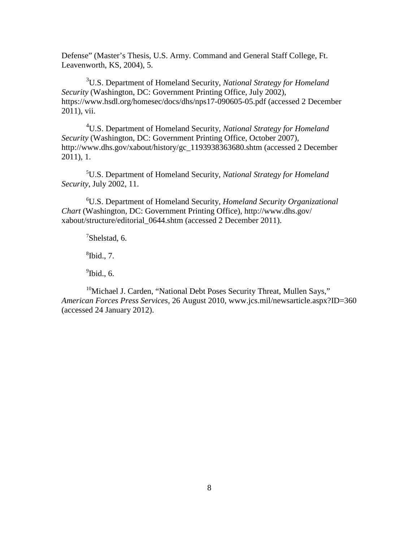Defense" (Master's Thesis, U.S. Army. Command and General Staff College, Ft. Leavenworth, KS, 2004), 5.

3 U.S. Department of Homeland Security, *National Strategy for Homeland Security* (Washington, DC: Government Printing Office, July 2002), https://www.hsdl.org/homesec/docs/dhs/nps17-090605-05.pdf (accessed 2 December 2011), vii.

4 U.S. Department of Homeland Security, *National Strategy for Homeland Security* (Washington, DC: Government Printing Office, October 2007), http://www.dhs.gov/xabout/history/gc\_1193938363680.shtm (accessed 2 December 2011), 1.

5 U.S. Department of Homeland Security, *National Strategy for Homeland Security*, July 2002, 11.

6 U.S. Department of Homeland Security, *Homeland Security Organizational Chart* (Washington, DC: Government Printing Office), http://www.dhs.gov/ xabout/structure/editorial\_0644.shtm (accessed 2 December 2011).

 $7$ Shelstad, 6.

 ${}^8$ Ibid., 7.

 $<sup>9</sup>$ Ibid., 6.</sup>

<span id="page-16-0"></span><sup>10</sup>Michael J. Carden, "National Debt Poses Security Threat, Mullen Says," *American Forces Press Services*, 26 August 2010, www.jcs.mil/newsarticle.aspx?ID=360 (accessed 24 January 2012).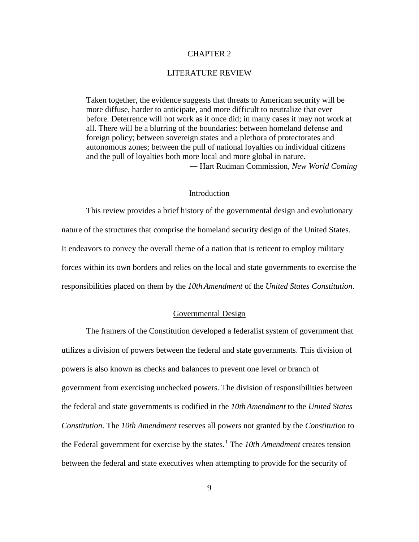## CHAPTER 2

## LITERATURE REVIEW

Taken together, the evidence suggests that threats to American security will be more diffuse, harder to anticipate, and more difficult to neutralize that ever before. Deterrence will not work as it once did; in many cases it may not work at all. There will be a blurring of the boundaries: between homeland defense and foreign policy; between sovereign states and a plethora of protectorates and autonomous zones; between the pull of national loyalties on individual citizens and the pull of loyalties both more local and more global in nature. ― Hart Rudman Commission, *New World Coming*

## Introduction

This review provides a brief history of the governmental design and evolutionary nature of the structures that comprise the homeland security design of the United States. It endeavors to convey the overall theme of a nation that is reticent to employ military forces within its own borders and relies on the local and state governments to exercise the responsibilities placed on them by the *10th Amendment* of the *United States Constitution*.

## Governmental Design

<span id="page-17-0"></span>The framers of the Constitution developed a federalist system of government that utilizes a division of powers between the federal and state governments. This division of powers is also known as checks and balances to prevent one level or branch of government from exercising unchecked powers. The division of responsibilities between the federal and state governments is codified in the *10th Amendment* to the *United States Constitution*. The *10th Amendment* reserves all powers not granted by the *Constitution* to the Federal government for exercise by the states.<sup>[1](#page-35-0)</sup> The *10th Amendment* creates tension between the federal and state executives when attempting to provide for the security of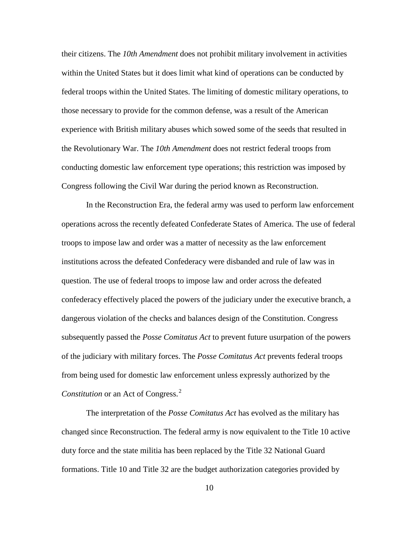<span id="page-18-1"></span>their citizens. The *10th Amendment* does not prohibit military involvement in activities within the United States but it does limit what kind of operations can be conducted by federal troops within the United States. The limiting of domestic military operations, to those necessary to provide for the common defense, was a result of the American experience with British military abuses which sowed some of the seeds that resulted in the Revolutionary War. The *10th Amendment* does not restrict federal troops from conducting domestic law enforcement type operations; this restriction was imposed by Congress following the Civil War during the period known as Reconstruction.

<span id="page-18-4"></span><span id="page-18-3"></span><span id="page-18-2"></span>In the Reconstruction Era, the federal army was used to perform law enforcement operations across the recently defeated Confederate States of America. The use of federal troops to impose law and order was a matter of necessity as the law enforcement institutions across the defeated Confederacy were disbanded and rule of law was in question. The use of federal troops to impose law and order across the defeated confederacy effectively placed the powers of the judiciary under the executive branch, a dangerous violation of the checks and balances design of the Constitution. Congress subsequently passed the *Posse Comitatus Act* to prevent future usurpation of the powers of the judiciary with military forces. The *Posse Comitatus Act* prevents federal troops from being used for domestic law enforcement unless expressly authorized by the *Constitution* or an Act of Congress. [2](#page-36-0)

<span id="page-18-0"></span>The interpretation of the *Posse Comitatus Act* has evolved as the military has changed since Reconstruction. The federal army is now equivalent to the Title 10 active duty force and the state militia has been replaced by the Title 32 National Guard formations. Title 10 and Title 32 are the budget authorization categories provided by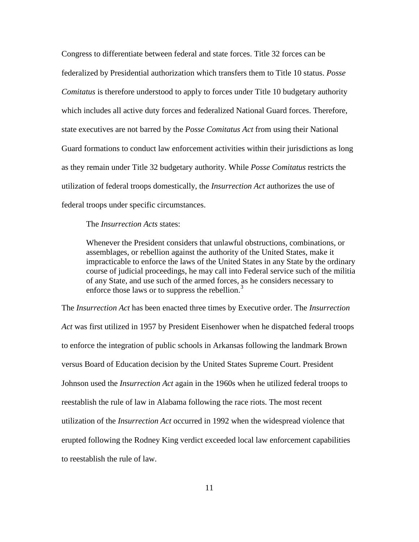Congress to differentiate between federal and state forces. Title 32 forces can be federalized by Presidential authorization which transfers them to Title 10 status. *Posse Comitatus* is therefore understood to apply to forces under Title 10 budgetary authority which includes all active duty forces and federalized National Guard forces. Therefore, state executives are not barred by the *Posse Comitatus Act* from using their National Guard formations to conduct law enforcement activities within their jurisdictions as long as they remain under Title 32 budgetary authority. While *Posse Comitatus* restricts the utilization of federal troops domestically, the *Insurrection Act* authorizes the use of federal troops under specific circumstances.

The *Insurrection Acts* states:

Whenever the President considers that unlawful obstructions, combinations, or assemblages, or rebellion against the authority of the United States, make it impracticable to enforce the laws of the United States in any State by the ordinary course of judicial proceedings, he may call into Federal service such of the militia of any State, and use such of the armed forces, as he considers necessary to enforce those laws or to suppress the rebellion.<sup>[3](#page-37-0)</sup>

<span id="page-19-1"></span><span id="page-19-0"></span>The *Insurrection Act* has been enacted three times by Executive order. The *Insurrection Act* was first utilized in 1957 by President Eisenhower when he dispatched federal troops to enforce the integration of public schools in Arkansas following the landmark Brown versus Board of Education decision by the United States Supreme Court. President Johnson used the *Insurrection Act* again in the 1960s when he utilized federal troops to reestablish the rule of law in Alabama following the race riots. The most recent utilization of the *Insurrection Act* occurred in 1992 when the widespread violence that erupted following the Rodney King verdict exceeded local law enforcement capabilities to reestablish the rule of law.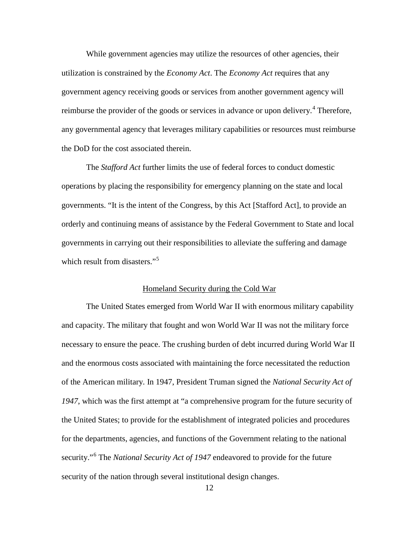While government agencies may utilize the resources of other agencies, their utilization is constrained by the *Economy Act*. The *Economy Act* requires that any government agency receiving goods or services from another government agency will reimburse the provider of the goods or services in advance or upon delivery.<sup>[4](#page-38-0)</sup> Therefore, any governmental agency that leverages military capabilities or resources must reimburse the DoD for the cost associated therein.

The *Stafford Act* further limits the use of federal forces to conduct domestic operations by placing the responsibility for emergency planning on the state and local governments. "It is the intent of the Congress, by this Act [Stafford Act], to provide an orderly and continuing means of assistance by the Federal Government to State and local governments in carrying out their responsibilities to alleviate the suffering and damage which result from disasters."<sup>[5](#page-38-1)</sup>

## Homeland Security during the Cold War

<span id="page-20-0"></span>The United States emerged from World War II with enormous military capability and capacity. The military that fought and won World War II was not the military force necessary to ensure the peace. The crushing burden of debt incurred during World War II and the enormous costs associated with maintaining the force necessitated the reduction of the American military. In 1947, President Truman signed the *National Security Act of 1947*, which was the first attempt at "a comprehensive program for the future security of the United States; to provide for the establishment of integrated policies and procedures for the departments, agencies, and functions of the Government relating to the national security."[6](#page-38-2) The *National Security Act of 1947* endeavored to provide for the future security of the nation through several institutional design changes.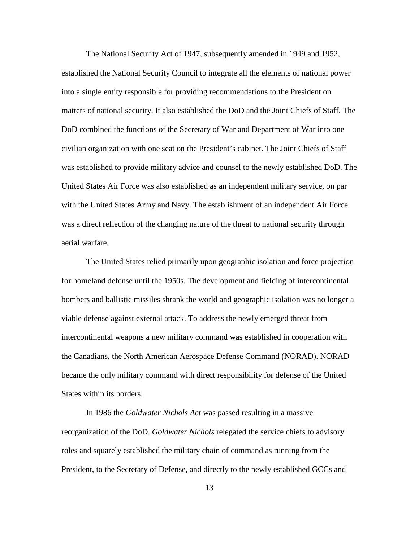The National Security Act of 1947, subsequently amended in 1949 and 1952, established the National Security Council to integrate all the elements of national power into a single entity responsible for providing recommendations to the President on matters of national security. It also established the DoD and the Joint Chiefs of Staff. The DoD combined the functions of the Secretary of War and Department of War into one civilian organization with one seat on the President's cabinet. The Joint Chiefs of Staff was established to provide military advice and counsel to the newly established DoD. The United States Air Force was also established as an independent military service, on par with the United States Army and Navy. The establishment of an independent Air Force was a direct reflection of the changing nature of the threat to national security through aerial warfare.

The United States relied primarily upon geographic isolation and force projection for homeland defense until the 1950s. The development and fielding of intercontinental bombers and ballistic missiles shrank the world and geographic isolation was no longer a viable defense against external attack. To address the newly emerged threat from intercontinental weapons a new military command was established in cooperation with the Canadians, the North American Aerospace Defense Command (NORAD). NORAD became the only military command with direct responsibility for defense of the United States within its borders.

In 1986 the *Goldwater Nichols Act* was passed resulting in a massive reorganization of the DoD. *Goldwater Nichols* relegated the service chiefs to advisory roles and squarely established the military chain of command as running from the President, to the Secretary of Defense, and directly to the newly established GCCs and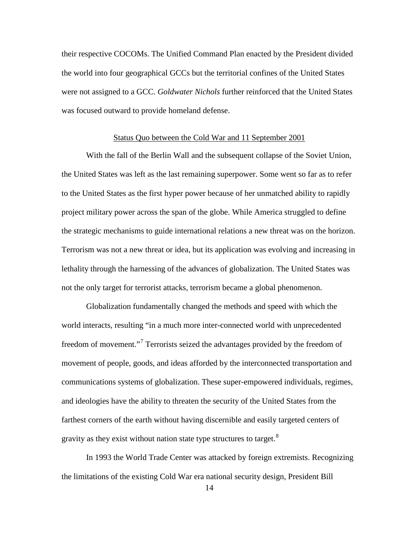their respective COCOMs. The Unified Command Plan enacted by the President divided the world into four geographical GCCs but the territorial confines of the United States were not assigned to a GCC. *Goldwater Nichols* further reinforced that the United States was focused outward to provide homeland defense.

#### Status Quo between the Cold War and 11 September 2001

With the fall of the Berlin Wall and the subsequent collapse of the Soviet Union, the United States was left as the last remaining superpower. Some went so far as to refer to the United States as the first hyper power because of her unmatched ability to rapidly project military power across the span of the globe. While America struggled to define the strategic mechanisms to guide international relations a new threat was on the horizon. Terrorism was not a new threat or idea, but its application was evolving and increasing in lethality through the harnessing of the advances of globalization. The United States was not the only target for terrorist attacks, terrorism became a global phenomenon.

Globalization fundamentally changed the methods and speed with which the world interacts, resulting "in a much more inter-connected world with unprecedented freedom of movement."<sup>[7](#page-39-0)</sup> Terrorists seized the advantages provided by the freedom of movement of people, goods, and ideas afforded by the interconnected transportation and communications systems of globalization. These super-empowered individuals, regimes, and ideologies have the ability to threaten the security of the United States from the farthest corners of the earth without having discernible and easily targeted centers of gravity as they exist without nation state type structures to target.<sup>[8](#page-39-1)</sup>

In 1993 the World Trade Center was attacked by foreign extremists. Recognizing the limitations of the existing Cold War era national security design, President Bill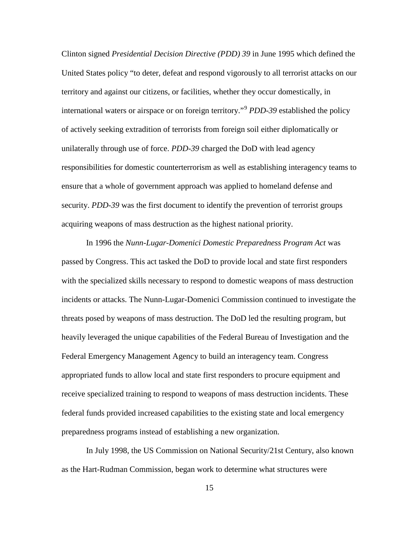Clinton signed *Presidential Decision Directive (PDD) 39* in June 1995 which defined the United States policy "to deter, defeat and respond vigorously to all terrorist attacks on our territory and against our citizens, or facilities, whether they occur domestically, in international waters or airspace or on foreign territory."[9](#page-40-0) *PDD-39* established the policy of actively seeking extradition of terrorists from foreign soil either diplomatically or unilaterally through use of force. *PDD-39* charged the DoD with lead agency responsibilities for domestic counterterrorism as well as establishing interagency teams to ensure that a whole of government approach was applied to homeland defense and security. *PDD-39* was the first document to identify the prevention of terrorist groups acquiring weapons of mass destruction as the highest national priority.

In 1996 the *Nunn-Lugar-Domenici Domestic Preparedness Program Act* was passed by Congress. This act tasked the DoD to provide local and state first responders with the specialized skills necessary to respond to domestic weapons of mass destruction incidents or attacks. The Nunn-Lugar-Domenici Commission continued to investigate the threats posed by weapons of mass destruction. The DoD led the resulting program, but heavily leveraged the unique capabilities of the Federal Bureau of Investigation and the Federal Emergency Management Agency to build an interagency team. Congress appropriated funds to allow local and state first responders to procure equipment and receive specialized training to respond to weapons of mass destruction incidents. These federal funds provided increased capabilities to the existing state and local emergency preparedness programs instead of establishing a new organization.

In July 1998, the US Commission on National Security/21st Century, also known as the Hart-Rudman Commission, began work to determine what structures were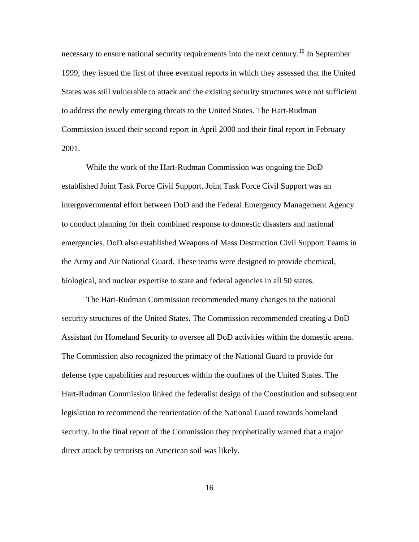necessary to ensure national security requirements into the next century.<sup>[10](#page-41-0)</sup> In September 1999, they issued the first of three eventual reports in which they assessed that the United States was still vulnerable to attack and the existing security structures were not sufficient to address the newly emerging threats to the United States. The Hart-Rudman Commission issued their second report in April 2000 and their final report in February 2001.

While the work of the Hart-Rudman Commission was ongoing the DoD established Joint Task Force Civil Support. Joint Task Force Civil Support was an intergovernmental effort between DoD and the Federal Emergency Management Agency to conduct planning for their combined response to domestic disasters and national emergencies. DoD also established Weapons of Mass Destruction Civil Support Teams in the Army and Air National Guard. These teams were designed to provide chemical, biological, and nuclear expertise to state and federal agencies in all 50 states.

The Hart-Rudman Commission recommended many changes to the national security structures of the United States. The Commission recommended creating a DoD Assistant for Homeland Security to oversee all DoD activities within the domestic arena. The Commission also recognized the primacy of the National Guard to provide for defense type capabilities and resources within the confines of the United States. The Hart-Rudman Commission linked the federalist design of the Constitution and subsequent legislation to recommend the reorientation of the National Guard towards homeland security. In the final report of the Commission they prophetically warned that a major direct attack by terrorists on American soil was likely.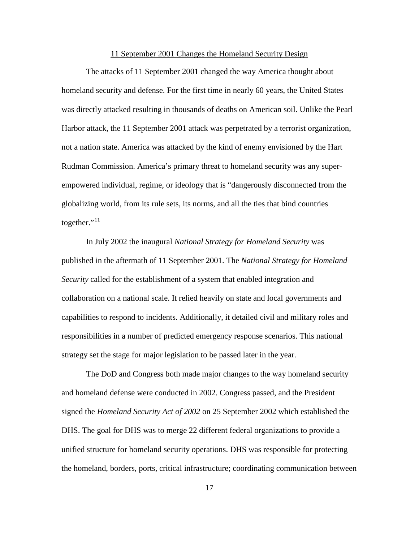## 11 September 2001 Changes the Homeland Security Design

The attacks of 11 September 2001 changed the way America thought about homeland security and defense. For the first time in nearly 60 years, the United States was directly attacked resulting in thousands of deaths on American soil. Unlike the Pearl Harbor attack, the 11 September 2001 attack was perpetrated by a terrorist organization, not a nation state. America was attacked by the kind of enemy envisioned by the Hart Rudman Commission. America's primary threat to homeland security was any superempowered individual, regime, or ideology that is "dangerously disconnected from the globalizing world, from its rule sets, its norms, and all the ties that bind countries together."<sup>[11](#page-41-1)</sup>

In July 2002 the inaugural *National Strategy for Homeland Security* was published in the aftermath of 11 September 2001. The *National Strategy for Homeland Security* called for the establishment of a system that enabled integration and collaboration on a national scale. It relied heavily on state and local governments and capabilities to respond to incidents. Additionally, it detailed civil and military roles and responsibilities in a number of predicted emergency response scenarios. This national strategy set the stage for major legislation to be passed later in the year.

The DoD and Congress both made major changes to the way homeland security and homeland defense were conducted in 2002. Congress passed, and the President signed the *Homeland Security Act of 2002* on 25 September 2002 which established the DHS. The goal for DHS was to merge 22 different federal organizations to provide a unified structure for homeland security operations. DHS was responsible for protecting the homeland, borders, ports, critical infrastructure; coordinating communication between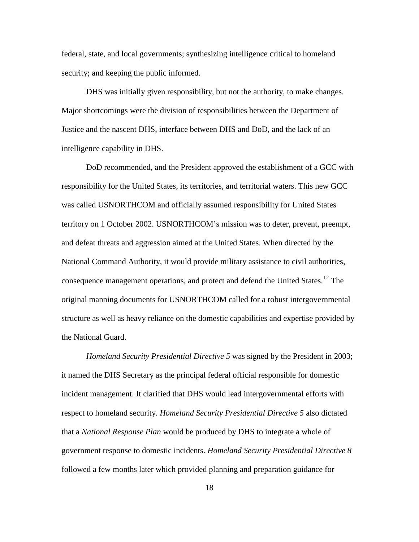federal, state, and local governments; synthesizing intelligence critical to homeland security; and keeping the public informed.

DHS was initially given responsibility, but not the authority, to make changes. Major shortcomings were the division of responsibilities between the Department of Justice and the nascent DHS, interface between DHS and DoD, and the lack of an intelligence capability in DHS.

DoD recommended, and the President approved the establishment of a GCC with responsibility for the United States, its territories, and territorial waters. This new GCC was called USNORTHCOM and officially assumed responsibility for United States territory on 1 October 2002. USNORTHCOM's mission was to deter, prevent, preempt, and defeat threats and aggression aimed at the United States. When directed by the National Command Authority, it would provide military assistance to civil authorities, consequence management operations, and protect and defend the United States.<sup>[12](#page-41-2)</sup> The original manning documents for USNORTHCOM called for a robust intergovernmental structure as well as heavy reliance on the domestic capabilities and expertise provided by the National Guard.

*Homeland Security Presidential Directive 5* was signed by the President in 2003; it named the DHS Secretary as the principal federal official responsible for domestic incident management. It clarified that DHS would lead intergovernmental efforts with respect to homeland security. *Homeland Security Presidential Directive 5* also dictated that a *National Response Plan* would be produced by DHS to integrate a whole of government response to domestic incidents. *Homeland Security Presidential Directive 8* followed a few months later which provided planning and preparation guidance for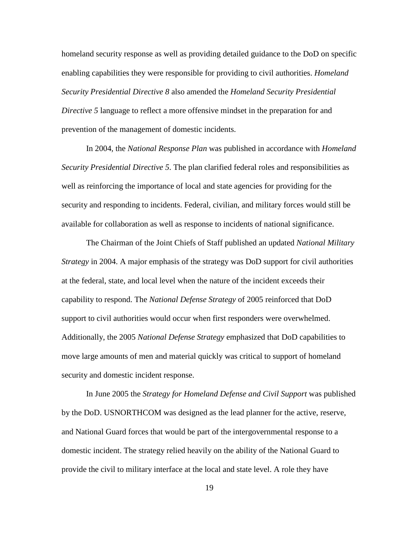homeland security response as well as providing detailed guidance to the DoD on specific enabling capabilities they were responsible for providing to civil authorities. *Homeland Security Presidential Directive 8* also amended the *Homeland Security Presidential Directive 5* language to reflect a more offensive mindset in the preparation for and prevention of the management of domestic incidents.

In 2004, the *National Response Plan* was published in accordance with *Homeland Security Presidential Directive 5*. The plan clarified federal roles and responsibilities as well as reinforcing the importance of local and state agencies for providing for the security and responding to incidents. Federal, civilian, and military forces would still be available for collaboration as well as response to incidents of national significance.

The Chairman of the Joint Chiefs of Staff published an updated *National Military Strategy* in 2004. A major emphasis of the strategy was DoD support for civil authorities at the federal, state, and local level when the nature of the incident exceeds their capability to respond. The *National Defense Strategy* of 2005 reinforced that DoD support to civil authorities would occur when first responders were overwhelmed. Additionally, the 2005 *National Defense Strategy* emphasized that DoD capabilities to move large amounts of men and material quickly was critical to support of homeland security and domestic incident response.

In June 2005 the *Strategy for Homeland Defense and Civil Support* was published by the DoD. USNORTHCOM was designed as the lead planner for the active, reserve, and National Guard forces that would be part of the intergovernmental response to a domestic incident. The strategy relied heavily on the ability of the National Guard to provide the civil to military interface at the local and state level. A role they have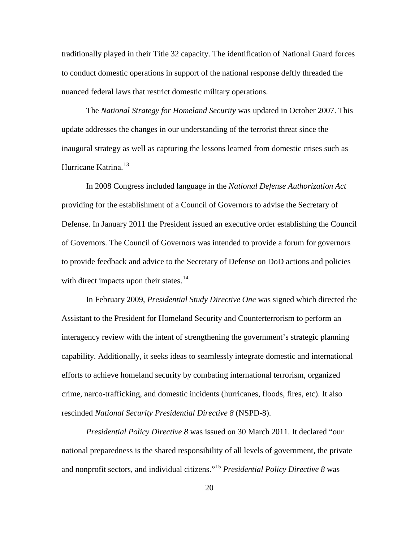traditionally played in their Title 32 capacity. The identification of National Guard forces to conduct domestic operations in support of the national response deftly threaded the nuanced federal laws that restrict domestic military operations.

The *National Strategy for Homeland Security* was updated in October 2007. This update addresses the changes in our understanding of the terrorist threat since the inaugural strategy as well as capturing the lessons learned from domestic crises such as Hurricane Katrina.<sup>[13](#page-42-0)</sup>

In 2008 Congress included language in the *National Defense Authorization Act* providing for the establishment of a Council of Governors to advise the Secretary of Defense. In January 2011 the President issued an executive order establishing the Council of Governors. The Council of Governors was intended to provide a forum for governors to provide feedback and advice to the Secretary of Defense on DoD actions and policies with direct impacts upon their states. $14$ 

In February 2009, *Presidential Study Directive One* was signed which directed the Assistant to the President for Homeland Security and Counterterrorism to perform an interagency review with the intent of strengthening the government's strategic planning capability. Additionally, it seeks ideas to seamlessly integrate domestic and international efforts to achieve homeland security by combating international terrorism, organized crime, narco-trafficking, and domestic incidents (hurricanes, floods, fires, etc). It also rescinded *National Security Presidential Directive 8* (NSPD-8).

*Presidential Policy Directive 8* was issued on 30 March 2011. It declared "our national preparedness is the shared responsibility of all levels of government, the private and nonprofit sectors, and individual citizens."[15](#page-42-2) *Presidential Policy Directive 8* was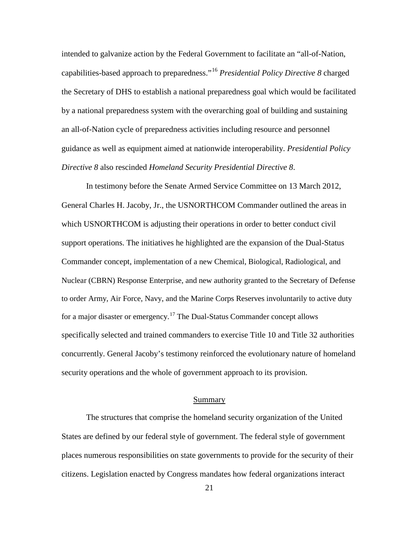intended to galvanize action by the Federal Government to facilitate an "all-of-Nation, capabilities-based approach to preparedness."[16](#page-43-0) *Presidential Policy Directive 8* charged the Secretary of DHS to establish a national preparedness goal which would be facilitated by a national preparedness system with the overarching goal of building and sustaining an all-of-Nation cycle of preparedness activities including resource and personnel guidance as well as equipment aimed at nationwide interoperability. *Presidential Policy Directive 8* also rescinded *Homeland Security Presidential Directive 8*.

In testimony before the Senate Armed Service Committee on 13 March 2012, General Charles H. Jacoby, Jr., the USNORTHCOM Commander outlined the areas in which USNORTHCOM is adjusting their operations in order to better conduct civil support operations. The initiatives he highlighted are the expansion of the Dual-Status Commander concept, implementation of a new Chemical, Biological, Radiological, and Nuclear (CBRN) Response Enterprise, and new authority granted to the Secretary of Defense to order Army, Air Force, Navy, and the Marine Corps Reserves involuntarily to active duty for a major disaster or emergency.<sup>[17](#page-43-1)</sup> The Dual-Status Commander concept allows specifically selected and trained commanders to exercise Title 10 and Title 32 authorities concurrently. General Jacoby's testimony reinforced the evolutionary nature of homeland security operations and the whole of government approach to its provision.

#### Summary

The structures that comprise the homeland security organization of the United States are defined by our federal style of government. The federal style of government places numerous responsibilities on state governments to provide for the security of their citizens. Legislation enacted by Congress mandates how federal organizations interact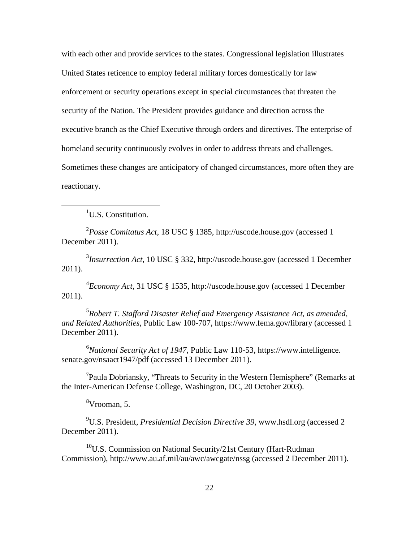with each other and provide services to the states. Congressional legislation illustrates United States reticence to employ federal military forces domestically for law enforcement or security operations except in special circumstances that threaten the security of the Nation. The President provides guidance and direction across the executive branch as the Chief Executive through orders and directives. The enterprise of homeland security continuously evolves in order to address threats and challenges. Sometimes these changes are anticipatory of changed circumstances, more often they are reactionary.

<u>1</u> <sup>1</sup>U.S. Constitution.

2 *Posse Comitatus Act*, 18 USC § 1385, http://uscode.house.gov (accessed 1 December 2011).

3 *Insurrection Act*, 10 USC § 332, http://uscode.house.gov (accessed 1 December 2011).

4 *Economy Act*, 31 USC § 1535, http://uscode.house.gov (accessed 1 December 2011).

5 *Robert T. Stafford Disaster Relief and Emergency Assistance Act, as amended, and Related Authorities,* Public Law 100-707, https://www.fema.gov/library (accessed 1 December 2011).

6 *National Security Act of 1947,* Public Law 110-53, https://www.intelligence. senate.gov/nsaact1947/pdf (accessed 13 December 2011).

<sup>7</sup>Paula Dobriansky, "Threats to Security in the Western Hemisphere" (Remarks at the Inter-American Defense College, Washington, DC, 20 October 2003).

8 Vrooman, 5.

9 U.S. President, *Presidential Decision Directive 39*, www.hsdl.org (accessed 2 December 2011).

 $10$ U.S. Commission on National Security/21st Century (Hart-Rudman) Commission), http://www.au.af.mil/au/awc/awcgate/nssg (accessed 2 December 2011).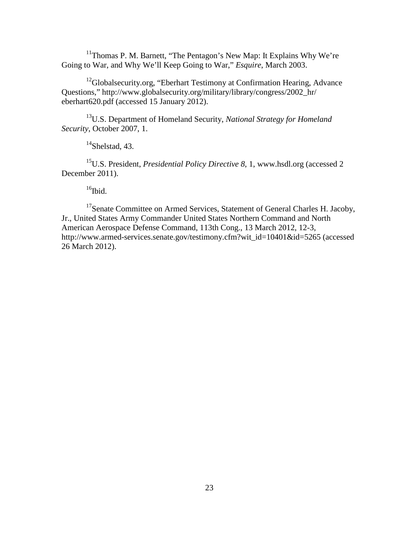<sup>11</sup>Thomas P. M. Barnett, "The Pentagon's New Map: It Explains Why We're Going to War, and Why We'll Keep Going to War," *Esquire*, March 2003.

<sup>12</sup>Globalsecurity.org, "Eberhart Testimony at Confirmation Hearing, Advance Questions," http://www.globalsecurity.org/military/library/congress/2002\_hr/ eberhart620.pdf (accessed 15 January 2012).

13U.S. Department of Homeland Security, *National Strategy for Homeland Security*, October 2007, 1.

 $14$ Shelstad, 43.

15U.S. President, *Presidential Policy Directive 8*, 1, www.hsdl.org (accessed 2 December 2011).

 $16$ Ibid.

<sup>17</sup>Senate Committee on Armed Services, Statement of General Charles H. Jacoby, Jr., United States Army Commander United States Northern Command and North American Aerospace Defense Command, 113th Cong., 13 March 2012, 12-3, http://www.armed-services.senate.gov/testimony.cfm?wit\_id=10401&id=5265 (accessed 26 March 2012).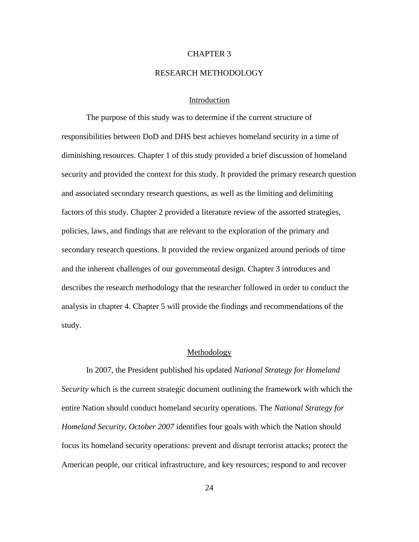## CHAPTER 3

## RESEARCH METHODOLOGY

## Introduction

The purpose of this study was to determine if the current structure of responsibilities between DoD and DHS best achieves homeland security in a time of diminishing resources. Chapter 1 of this study provided a brief discussion of homeland security and provided the context for this study. It provided the primary research question and associated secondary research questions, as well as the limiting and delimiting factors of this study. Chapter 2 provided a literature review of the assorted strategies, policies, laws, and findings that are relevant to the exploration of the primary and secondary research questions. It provided the review organized around periods of time and the inherent challenges of our governmental design. Chapter 3 introduces and describes the research methodology that the researcher followed in order to conduct the analysis in chapter 4. Chapter 5 will provide the findings and recommendations of the study.

## Methodology

In 2007, the President published his updated *National Strategy for Homeland Security* which is the current strategic document outlining the framework with which the entire Nation should conduct homeland security operations. The *National Strategy for Homeland Security, October 2007* identifies four goals with which the Nation should focus its homeland security operations: prevent and disrupt terrorist attacks; protect the American people, our critical infrastructure, and key resources; respond to and recover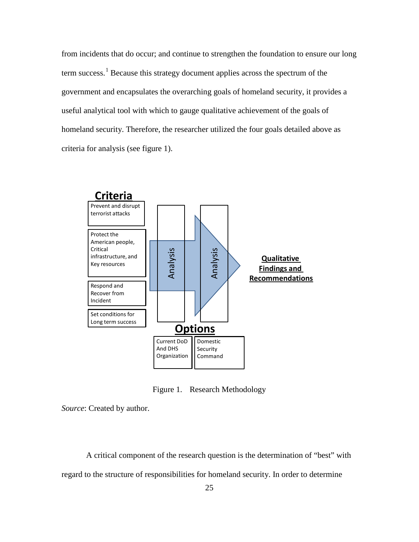from incidents that do occur; and continue to strengthen the foundation to ensure our long term success.<sup>[1](#page-35-1)</sup> Because this strategy document applies across the spectrum of the government and encapsulates the overarching goals of homeland security, it provides a useful analytical tool with which to gauge qualitative achievement of the goals of homeland security. Therefore, the researcher utilized the four goals detailed above as criteria for analysis (see figure 1).



Figure 1. Research Methodology

*Source*: Created by author.

A critical component of the research question is the determination of "best" with regard to the structure of responsibilities for homeland security. In order to determine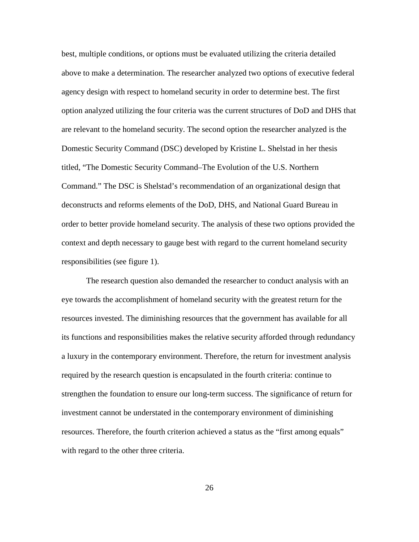best, multiple conditions, or options must be evaluated utilizing the criteria detailed above to make a determination. The researcher analyzed two options of executive federal agency design with respect to homeland security in order to determine best. The first option analyzed utilizing the four criteria was the current structures of DoD and DHS that are relevant to the homeland security. The second option the researcher analyzed is the Domestic Security Command (DSC) developed by Kristine L. Shelstad in her thesis titled, "The Domestic Security Command–The Evolution of the U.S. Northern Command." The DSC is Shelstad's recommendation of an organizational design that deconstructs and reforms elements of the DoD, DHS, and National Guard Bureau in order to better provide homeland security. The analysis of these two options provided the context and depth necessary to gauge best with regard to the current homeland security responsibilities (see figure 1).

The research question also demanded the researcher to conduct analysis with an eye towards the accomplishment of homeland security with the greatest return for the resources invested. The diminishing resources that the government has available for all its functions and responsibilities makes the relative security afforded through redundancy a luxury in the contemporary environment. Therefore, the return for investment analysis required by the research question is encapsulated in the fourth criteria: continue to strengthen the foundation to ensure our long-term success. The significance of return for investment cannot be understated in the contemporary environment of diminishing resources. Therefore, the fourth criterion achieved a status as the "first among equals" with regard to the other three criteria.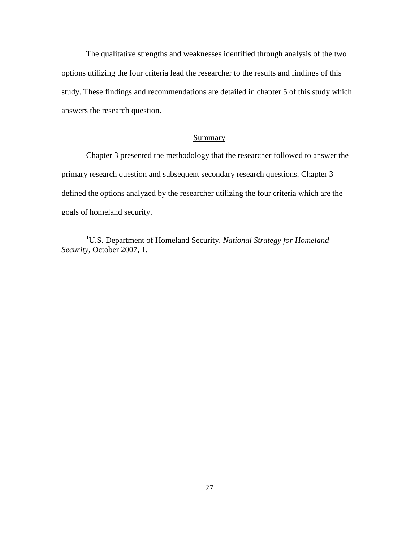The qualitative strengths and weaknesses identified through analysis of the two options utilizing the four criteria lead the researcher to the results and findings of this study. These findings and recommendations are detailed in chapter 5 of this study which answers the research question.

# **Summary**

Chapter 3 presented the methodology that the researcher followed to answer the primary research question and subsequent secondary research questions. Chapter 3 defined the options analyzed by the researcher utilizing the four criteria which are the goals of homeland security.

<span id="page-35-1"></span><span id="page-35-0"></span><sup>&</sup>lt;u>1</u> U.S. Department of Homeland Security, *National Strategy for Homeland Security*, October 2007, 1.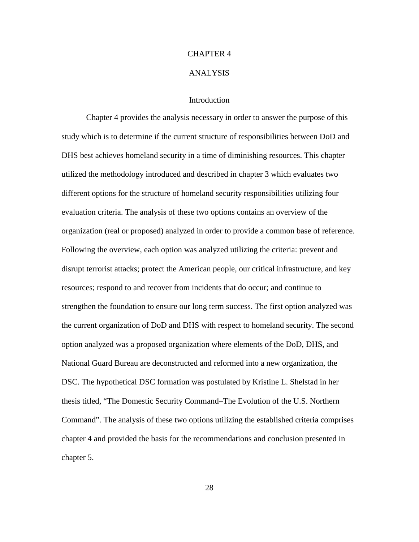# CHAPTER 4

#### ANALYSIS

# Introduction

Chapter 4 provides the analysis necessary in order to answer the purpose of this study which is to determine if the current structure of responsibilities between DoD and DHS best achieves homeland security in a time of diminishing resources. This chapter utilized the methodology introduced and described in chapter 3 which evaluates two different options for the structure of homeland security responsibilities utilizing four evaluation criteria. The analysis of these two options contains an overview of the organization (real or proposed) analyzed in order to provide a common base of reference. Following the overview, each option was analyzed utilizing the criteria: prevent and disrupt terrorist attacks; protect the American people, our critical infrastructure, and key resources; respond to and recover from incidents that do occur; and continue to strengthen the foundation to ensure our long term success. The first option analyzed was the current organization of DoD and DHS with respect to homeland security. The second option analyzed was a proposed organization where elements of the DoD, DHS, and National Guard Bureau are deconstructed and reformed into a new organization, the DSC. The hypothetical DSC formation was postulated by Kristine L. Shelstad in her thesis titled, "The Domestic Security Command–The Evolution of the U.S. Northern Command". The analysis of these two options utilizing the established criteria comprises chapter 4 and provided the basis for the recommendations and conclusion presented in chapter 5.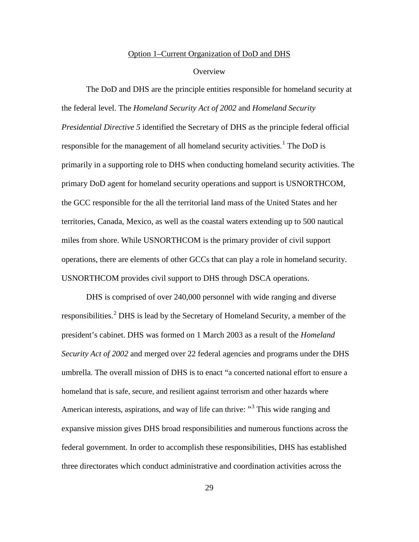#### Option 1–Current Organization of DoD and DHS

#### **Overview**

The DoD and DHS are the principle entities responsible for homeland security at the federal level. The *Homeland Security Act of 2002* and *Homeland Security Presidential Directive 5* identified the Secretary of DHS as the principle federal official responsible for the management of all homeland security activities.<sup>[1](#page-71-0)</sup> The DoD is primarily in a supporting role to DHS when conducting homeland security activities. The primary DoD agent for homeland security operations and support is USNORTHCOM, the GCC responsible for the all the territorial land mass of the United States and her territories, Canada, Mexico, as well as the coastal waters extending up to 500 nautical miles from shore. While USNORTHCOM is the primary provider of civil support operations, there are elements of other GCCs that can play a role in homeland security. USNORTHCOM provides civil support to DHS through DSCA operations.

DHS is comprised of over 240,000 personnel with wide ranging and diverse responsibilities.<sup>[2](#page-71-1)</sup> DHS is lead by the Secretary of Homeland Security, a member of the president's cabinet. DHS was formed on 1 March 2003 as a result of the *Homeland Security Act of 2002* and merged over 22 federal agencies and programs under the DHS umbrella. The overall mission of DHS is to enact "a concerted national effort to ensure a homeland that is safe, secure, and resilient against terrorism and other hazards where American interests, aspirations, and way of life can thrive: "<sup>[3](#page-71-2)</sup> This wide ranging and expansive mission gives DHS broad responsibilities and numerous functions across the federal government. In order to accomplish these responsibilities, DHS has established three directorates which conduct administrative and coordination activities across the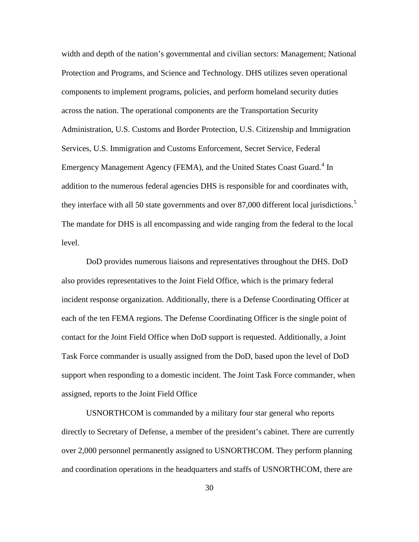width and depth of the nation's governmental and civilian sectors: Management; National Protection and Programs, and Science and Technology. DHS utilizes seven operational components to implement programs, policies, and perform homeland security duties across the nation. The operational components are the Transportation Security Administration, U.S. Customs and Border Protection, U.S. Citizenship and Immigration Services, U.S. Immigration and Customs Enforcement, Secret Service, Federal Emergency Management Agency (FEMA), and the United States Coast Guard.<sup>[4](#page-71-3)</sup> In addition to the numerous federal agencies DHS is responsible for and coordinates with, they interface with all [5](#page-71-4)0 state governments and over 87,000 different local jurisdictions.<sup>5</sup> The mandate for DHS is all encompassing and wide ranging from the federal to the local level.

DoD provides numerous liaisons and representatives throughout the DHS. DoD also provides representatives to the Joint Field Office, which is the primary federal incident response organization. Additionally, there is a Defense Coordinating Officer at each of the ten FEMA regions. The Defense Coordinating Officer is the single point of contact for the Joint Field Office when DoD support is requested. Additionally, a Joint Task Force commander is usually assigned from the DoD, based upon the level of DoD support when responding to a domestic incident. The Joint Task Force commander, when assigned, reports to the Joint Field Office

USNORTHCOM is commanded by a military four star general who reports directly to Secretary of Defense, a member of the president's cabinet. There are currently over 2,000 personnel permanently assigned to USNORTHCOM. They perform planning and coordination operations in the headquarters and staffs of USNORTHCOM, there are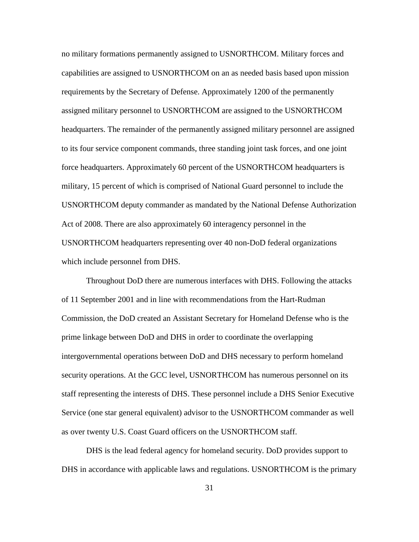no military formations permanently assigned to USNORTHCOM. Military forces and capabilities are assigned to USNORTHCOM on an as needed basis based upon mission requirements by the Secretary of Defense. Approximately 1200 of the permanently assigned military personnel to USNORTHCOM are assigned to the USNORTHCOM headquarters. The remainder of the permanently assigned military personnel are assigned to its four service component commands, three standing joint task forces, and one joint force headquarters. Approximately 60 percent of the USNORTHCOM headquarters is military, 15 percent of which is comprised of National Guard personnel to include the USNORTHCOM deputy commander as mandated by the National Defense Authorization Act of 2008. There are also approximately 60 interagency personnel in the USNORTHCOM headquarters representing over 40 non-DoD federal organizations which include personnel from DHS.

Throughout DoD there are numerous interfaces with DHS. Following the attacks of 11 September 2001 and in line with recommendations from the Hart-Rudman Commission, the DoD created an Assistant Secretary for Homeland Defense who is the prime linkage between DoD and DHS in order to coordinate the overlapping intergovernmental operations between DoD and DHS necessary to perform homeland security operations. At the GCC level, USNORTHCOM has numerous personnel on its staff representing the interests of DHS. These personnel include a DHS Senior Executive Service (one star general equivalent) advisor to the USNORTHCOM commander as well as over twenty U.S. Coast Guard officers on the USNORTHCOM staff.

DHS is the lead federal agency for homeland security. DoD provides support to DHS in accordance with applicable laws and regulations. USNORTHCOM is the primary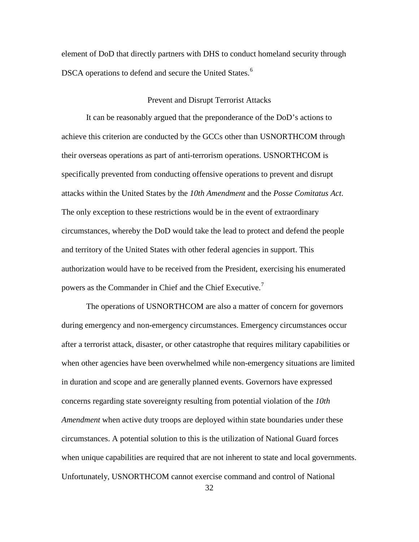element of DoD that directly partners with DHS to conduct homeland security through DSCA operations to defend and secure the United States.<sup>[6](#page-71-5)</sup>

## Prevent and Disrupt Terrorist Attacks

It can be reasonably argued that the preponderance of the DoD's actions to achieve this criterion are conducted by the GCCs other than USNORTHCOM through their overseas operations as part of anti-terrorism operations. USNORTHCOM is specifically prevented from conducting offensive operations to prevent and disrupt attacks within the United States by the *10th Amendment* and the *Posse Comitatus Act*. The only exception to these restrictions would be in the event of extraordinary circumstances, whereby the DoD would take the lead to protect and defend the people and territory of the United States with other federal agencies in support. This authorization would have to be received from the President, exercising his enumerated powers as the Commander in Chief and the Chief Executive.<sup>[7](#page-71-6)</sup>

The operations of USNORTHCOM are also a matter of concern for governors during emergency and non-emergency circumstances. Emergency circumstances occur after a terrorist attack, disaster, or other catastrophe that requires military capabilities or when other agencies have been overwhelmed while non-emergency situations are limited in duration and scope and are generally planned events. Governors have expressed concerns regarding state sovereignty resulting from potential violation of the *10th Amendment* when active duty troops are deployed within state boundaries under these circumstances. A potential solution to this is the utilization of National Guard forces when unique capabilities are required that are not inherent to state and local governments. Unfortunately, USNORTHCOM cannot exercise command and control of National

32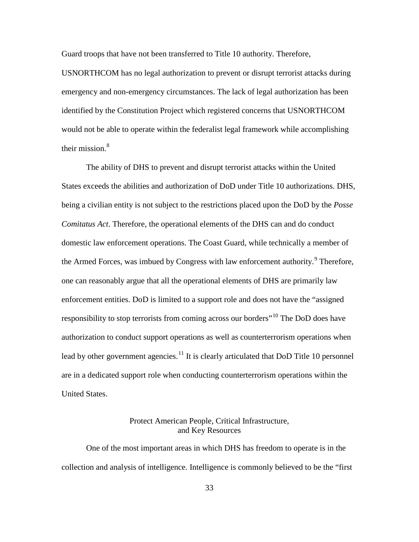Guard troops that have not been transferred to Title 10 authority. Therefore,

USNORTHCOM has no legal authorization to prevent or disrupt terrorist attacks during emergency and non-emergency circumstances. The lack of legal authorization has been identified by the Constitution Project which registered concerns that USNORTHCOM would not be able to operate within the federalist legal framework while accomplishing their mission. $8$ 

The ability of DHS to prevent and disrupt terrorist attacks within the United States exceeds the abilities and authorization of DoD under Title 10 authorizations. DHS, being a civilian entity is not subject to the restrictions placed upon the DoD by the *Posse Comitatus Act*. Therefore, the operational elements of the DHS can and do conduct domestic law enforcement operations. The Coast Guard, while technically a member of the Armed Forces, was imbued by Congress with law enforcement authority.<sup>[9](#page-71-8)</sup> Therefore, one can reasonably argue that all the operational elements of DHS are primarily law enforcement entities. DoD is limited to a support role and does not have the "assigned responsibility to stop terrorists from coming across our borders"<sup>[10](#page-71-9)</sup> The DoD does have authorization to conduct support operations as well as counterterrorism operations when lead by other government agencies.<sup>[11](#page-71-10)</sup> It is clearly articulated that DoD Title 10 personnel are in a dedicated support role when conducting counterterrorism operations within the United States.

# Protect American People, Critical Infrastructure, and Key Resources

One of the most important areas in which DHS has freedom to operate is in the collection and analysis of intelligence. Intelligence is commonly believed to be the "first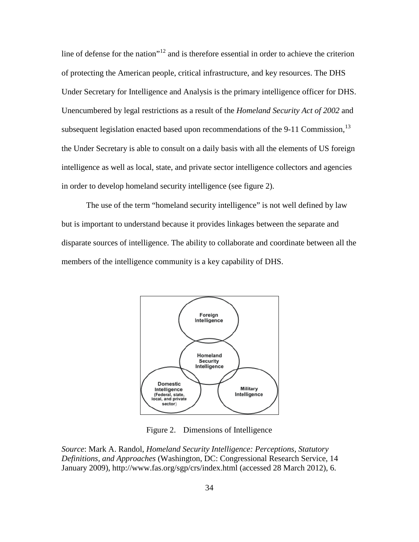line of defense for the nation"<sup>[12](#page-71-11)</sup> and is therefore essential in order to achieve the criterion of protecting the American people, critical infrastructure, and key resources. The DHS Under Secretary for Intelligence and Analysis is the primary intelligence officer for DHS. Unencumbered by legal restrictions as a result of the *Homeland Security Act of 2002* and subsequent legislation enacted based upon recommendations of the 9-11 Commission, <sup>[13](#page-71-12)</sup> the Under Secretary is able to consult on a daily basis with all the elements of US foreign intelligence as well as local, state, and private sector intelligence collectors and agencies in order to develop homeland security intelligence (see figure 2).

The use of the term "homeland security intelligence" is not well defined by law but is important to understand because it provides linkages between the separate and disparate sources of intelligence. The ability to collaborate and coordinate between all the members of the intelligence community is a key capability of DHS.



Figure 2. Dimensions of Intelligence

*Source*: Mark A. Randol, *Homeland Security Intelligence: Perceptions, Statutory Definitions, and Approaches* (Washington, DC: Congressional Research Service, 14 January 2009), http://www.fas.org/sgp/crs/index.html (accessed 28 March 2012), 6.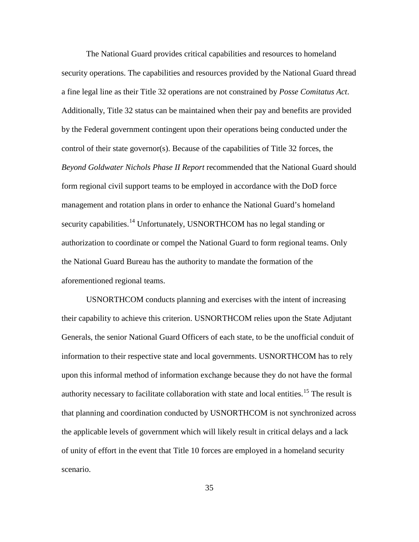The National Guard provides critical capabilities and resources to homeland security operations. The capabilities and resources provided by the National Guard thread a fine legal line as their Title 32 operations are not constrained by *Posse Comitatus Act*. Additionally, Title 32 status can be maintained when their pay and benefits are provided by the Federal government contingent upon their operations being conducted under the control of their state governor(s). Because of the capabilities of Title 32 forces, the *Beyond Goldwater Nichols Phase II Report* recommended that the National Guard should form regional civil support teams to be employed in accordance with the DoD force management and rotation plans in order to enhance the National Guard's homeland security capabilities.<sup>[14](#page-71-13)</sup> Unfortunately, USNORTHCOM has no legal standing or authorization to coordinate or compel the National Guard to form regional teams. Only the National Guard Bureau has the authority to mandate the formation of the aforementioned regional teams.

USNORTHCOM conducts planning and exercises with the intent of increasing their capability to achieve this criterion. USNORTHCOM relies upon the State Adjutant Generals, the senior National Guard Officers of each state, to be the unofficial conduit of information to their respective state and local governments. USNORTHCOM has to rely upon this informal method of information exchange because they do not have the formal authority necessary to facilitate collaboration with state and local entities.<sup>[15](#page-71-14)</sup> The result is that planning and coordination conducted by USNORTHCOM is not synchronized across the applicable levels of government which will likely result in critical delays and a lack of unity of effort in the event that Title 10 forces are employed in a homeland security scenario.

35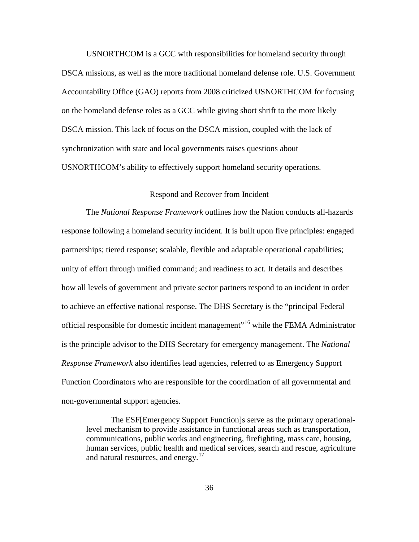USNORTHCOM is a GCC with responsibilities for homeland security through DSCA missions, as well as the more traditional homeland defense role. U.S. Government Accountability Office (GAO) reports from 2008 criticized USNORTHCOM for focusing on the homeland defense roles as a GCC while giving short shrift to the more likely DSCA mission. This lack of focus on the DSCA mission, coupled with the lack of synchronization with state and local governments raises questions about USNORTHCOM's ability to effectively support homeland security operations.

# Respond and Recover from Incident

The *National Response Framework* outlines how the Nation conducts all-hazards response following a homeland security incident. It is built upon five principles: engaged partnerships; tiered response; scalable, flexible and adaptable operational capabilities; unity of effort through unified command; and readiness to act. It details and describes how all levels of government and private sector partners respond to an incident in order to achieve an effective national response. The DHS Secretary is the "principal Federal official responsible for domestic incident management"[16](#page-71-15) while the FEMA Administrator is the principle advisor to the DHS Secretary for emergency management. The *National Response Framework* also identifies lead agencies, referred to as Emergency Support Function Coordinators who are responsible for the coordination of all governmental and non-governmental support agencies.

The ESF[Emergency Support Function]s serve as the primary operationallevel mechanism to provide assistance in functional areas such as transportation, communications, public works and engineering, firefighting, mass care, housing, human services, public health and medical services, search and rescue, agriculture and natural resources, and energy.<sup>[17](#page-71-16)</sup>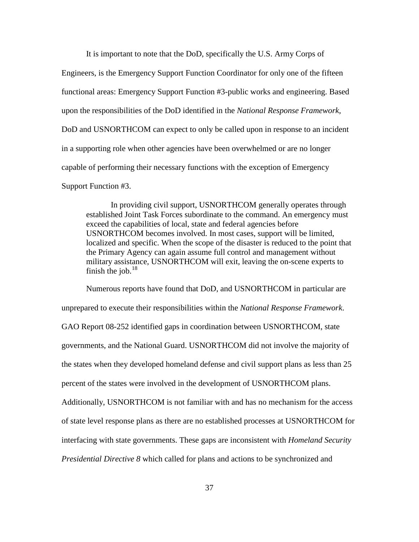It is important to note that the DoD, specifically the U.S. Army Corps of Engineers, is the Emergency Support Function Coordinator for only one of the fifteen functional areas: Emergency Support Function #3-public works and engineering. Based upon the responsibilities of the DoD identified in the *National Response Framework*, DoD and USNORTHCOM can expect to only be called upon in response to an incident in a supporting role when other agencies have been overwhelmed or are no longer capable of performing their necessary functions with the exception of Emergency Support Function #3.

In providing civil support, USNORTHCOM generally operates through established Joint Task Forces subordinate to the command. An emergency must exceed the capabilities of local, state and federal agencies before USNORTHCOM becomes involved. In most cases, support will be limited, localized and specific. When the scope of the disaster is reduced to the point that the Primary Agency can again assume full control and management without military assistance, USNORTHCOM will exit, leaving the on-scene experts to finish the job. $18$ 

Numerous reports have found that DoD, and USNORTHCOM in particular are unprepared to execute their responsibilities within the *National Response Framework*. GAO Report 08-252 identified gaps in coordination between USNORTHCOM, state governments, and the National Guard. USNORTHCOM did not involve the majority of the states when they developed homeland defense and civil support plans as less than 25 percent of the states were involved in the development of USNORTHCOM plans. Additionally, USNORTHCOM is not familiar with and has no mechanism for the access of state level response plans as there are no established processes at USNORTHCOM for interfacing with state governments. These gaps are inconsistent with *Homeland Security Presidential Directive 8* which called for plans and actions to be synchronized and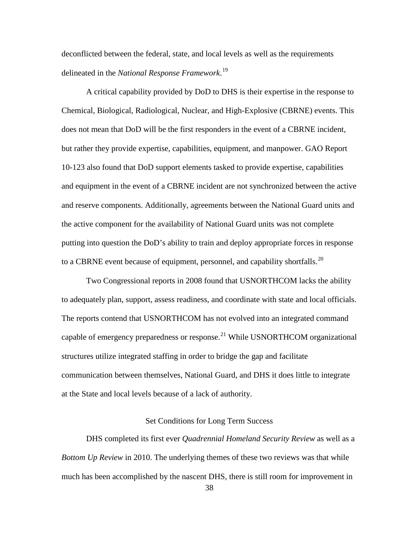deconflicted between the federal, state, and local levels as well as the requirements delineated in the *National Response Framework*. [19](#page-71-17)

A critical capability provided by DoD to DHS is their expertise in the response to Chemical, Biological, Radiological, Nuclear, and High-Explosive (CBRNE) events. This does not mean that DoD will be the first responders in the event of a CBRNE incident, but rather they provide expertise, capabilities, equipment, and manpower. GAO Report 10-123 also found that DoD support elements tasked to provide expertise, capabilities and equipment in the event of a CBRNE incident are not synchronized between the active and reserve components. Additionally, agreements between the National Guard units and the active component for the availability of National Guard units was not complete putting into question the DoD's ability to train and deploy appropriate forces in response to a CBRNE event because of equipment, personnel, and capability shortfalls.<sup>[20](#page-71-18)</sup>

Two Congressional reports in 2008 found that USNORTHCOM lacks the ability to adequately plan, support, assess readiness, and coordinate with state and local officials. The reports contend that USNORTHCOM has not evolved into an integrated command capable of emergency preparedness or response.<sup>[21](#page-71-19)</sup> While USNORTHCOM organizational structures utilize integrated staffing in order to bridge the gap and facilitate communication between themselves, National Guard, and DHS it does little to integrate at the State and local levels because of a lack of authority.

# Set Conditions for Long Term Success

DHS completed its first ever *Quadrennial Homeland Security Review* as well as a *Bottom Up Review* in 2010. The underlying themes of these two reviews was that while much has been accomplished by the nascent DHS, there is still room for improvement in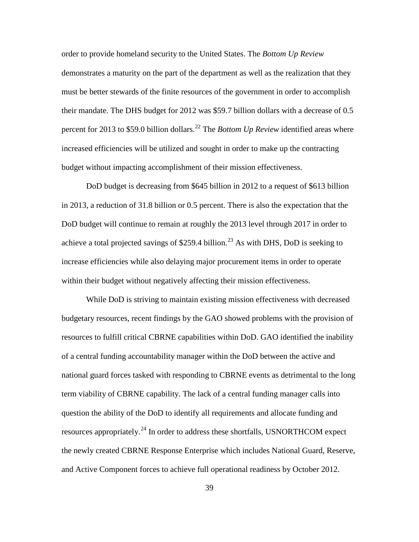order to provide homeland security to the United States. The *Bottom Up Review* demonstrates a maturity on the part of the department as well as the realization that they must be better stewards of the finite resources of the government in order to accomplish their mandate. The DHS budget for 2012 was \$59.7 billion dollars with a decrease of 0.5 percent for 2013 to \$59.0 billion dollars.<sup>[22](#page-71-20)</sup> The *Bottom Up Review* identified areas where increased efficiencies will be utilized and sought in order to make up the contracting budget without impacting accomplishment of their mission effectiveness.

DoD budget is decreasing from \$645 billion in 2012 to a request of \$613 billion in 2013, a reduction of 31.8 billion or 0.5 percent. There is also the expectation that the DoD budget will continue to remain at roughly the 2013 level through 2017 in order to achieve a total projected savings of \$259.4 billion.<sup>[23](#page-71-21)</sup> As with DHS, DoD is seeking to increase efficiencies while also delaying major procurement items in order to operate within their budget without negatively affecting their mission effectiveness.

While DoD is striving to maintain existing mission effectiveness with decreased budgetary resources, recent findings by the GAO showed problems with the provision of resources to fulfill critical CBRNE capabilities within DoD. GAO identified the inability of a central funding accountability manager within the DoD between the active and national guard forces tasked with responding to CBRNE events as detrimental to the long term viability of CBRNE capability. The lack of a central funding manager calls into question the ability of the DoD to identify all requirements and allocate funding and resources appropriately.<sup>[24](#page-71-22)</sup> In order to address these shortfalls, USNORTHCOM expect the newly created CBRNE Response Enterprise which includes National Guard, Reserve, and Active Component forces to achieve full operational readiness by October 2012.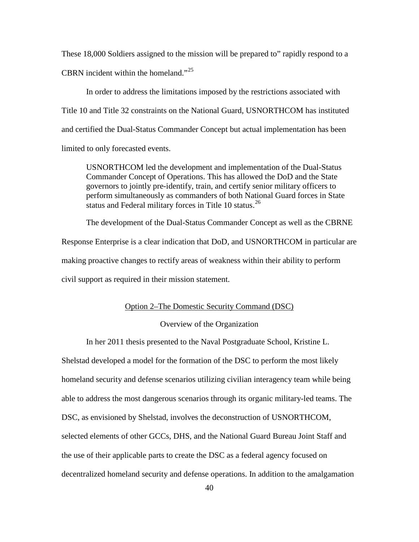These 18,000 Soldiers assigned to the mission will be prepared to" rapidly respond to a CBRN incident within the homeland."<sup>[25](#page-71-23)</sup>

In order to address the limitations imposed by the restrictions associated with Title 10 and Title 32 constraints on the National Guard, USNORTHCOM has instituted and certified the Dual-Status Commander Concept but actual implementation has been limited to only forecasted events.

USNORTHCOM led the development and implementation of the Dual-Status Commander Concept of Operations. This has allowed the DoD and the State governors to jointly pre-identify, train, and certify senior military officers to perform simultaneously as commanders of both National Guard forces in State status and Federal military forces in Title 10 status.<sup>[26](#page-71-24)</sup>

The development of the Dual-Status Commander Concept as well as the CBRNE

Response Enterprise is a clear indication that DoD, and USNORTHCOM in particular are making proactive changes to rectify areas of weakness within their ability to perform civil support as required in their mission statement.

# Option 2–The Domestic Security Command (DSC)

### Overview of the Organization

In her 2011 thesis presented to the Naval Postgraduate School, Kristine L.

Shelstad developed a model for the formation of the DSC to perform the most likely homeland security and defense scenarios utilizing civilian interagency team while being able to address the most dangerous scenarios through its organic military-led teams. The DSC, as envisioned by Shelstad, involves the deconstruction of USNORTHCOM, selected elements of other GCCs, DHS, and the National Guard Bureau Joint Staff and the use of their applicable parts to create the DSC as a federal agency focused on decentralized homeland security and defense operations. In addition to the amalgamation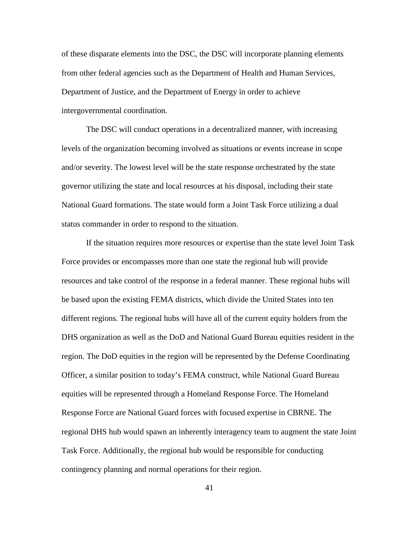of these disparate elements into the DSC, the DSC will incorporate planning elements from other federal agencies such as the Department of Health and Human Services, Department of Justice, and the Department of Energy in order to achieve intergovernmental coordination.

The DSC will conduct operations in a decentralized manner, with increasing levels of the organization becoming involved as situations or events increase in scope and/or severity. The lowest level will be the state response orchestrated by the state governor utilizing the state and local resources at his disposal, including their state National Guard formations. The state would form a Joint Task Force utilizing a dual status commander in order to respond to the situation.

If the situation requires more resources or expertise than the state level Joint Task Force provides or encompasses more than one state the regional hub will provide resources and take control of the response in a federal manner. These regional hubs will be based upon the existing FEMA districts, which divide the United States into ten different regions. The regional hubs will have all of the current equity holders from the DHS organization as well as the DoD and National Guard Bureau equities resident in the region. The DoD equities in the region will be represented by the Defense Coordinating Officer, a similar position to today's FEMA construct, while National Guard Bureau equities will be represented through a Homeland Response Force. The Homeland Response Force are National Guard forces with focused expertise in CBRNE. The regional DHS hub would spawn an inherently interagency team to augment the state Joint Task Force. Additionally, the regional hub would be responsible for conducting contingency planning and normal operations for their region.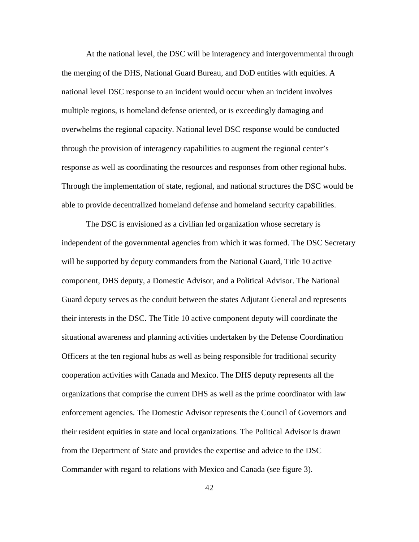At the national level, the DSC will be interagency and intergovernmental through the merging of the DHS, National Guard Bureau, and DoD entities with equities. A national level DSC response to an incident would occur when an incident involves multiple regions, is homeland defense oriented, or is exceedingly damaging and overwhelms the regional capacity. National level DSC response would be conducted through the provision of interagency capabilities to augment the regional center's response as well as coordinating the resources and responses from other regional hubs. Through the implementation of state, regional, and national structures the DSC would be able to provide decentralized homeland defense and homeland security capabilities.

The DSC is envisioned as a civilian led organization whose secretary is independent of the governmental agencies from which it was formed. The DSC Secretary will be supported by deputy commanders from the National Guard, Title 10 active component, DHS deputy, a Domestic Advisor, and a Political Advisor. The National Guard deputy serves as the conduit between the states Adjutant General and represents their interests in the DSC. The Title 10 active component deputy will coordinate the situational awareness and planning activities undertaken by the Defense Coordination Officers at the ten regional hubs as well as being responsible for traditional security cooperation activities with Canada and Mexico. The DHS deputy represents all the organizations that comprise the current DHS as well as the prime coordinator with law enforcement agencies. The Domestic Advisor represents the Council of Governors and their resident equities in state and local organizations. The Political Advisor is drawn from the Department of State and provides the expertise and advice to the DSC Commander with regard to relations with Mexico and Canada (see figure 3).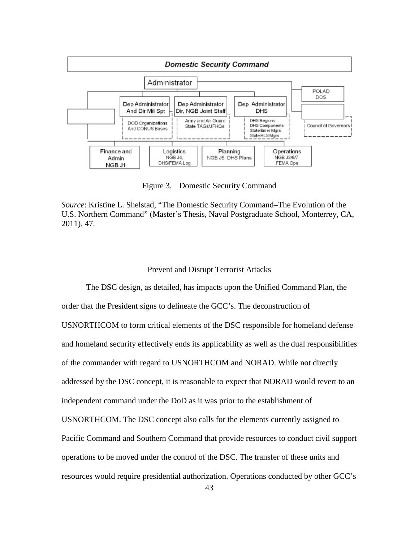

Figure 3. Domestic Security Command

*Source*: Kristine L. Shelstad, "The Domestic Security Command–The Evolution of the U.S. Northern Command" (Master's Thesis, Naval Postgraduate School, Monterrey, CA, 2011), 47.

# Prevent and Disrupt Terrorist Attacks

The DSC design, as detailed, has impacts upon the Unified Command Plan, the order that the President signs to delineate the GCC's. The deconstruction of USNORTHCOM to form critical elements of the DSC responsible for homeland defense and homeland security effectively ends its applicability as well as the dual responsibilities of the commander with regard to USNORTHCOM and NORAD. While not directly addressed by the DSC concept, it is reasonable to expect that NORAD would revert to an independent command under the DoD as it was prior to the establishment of USNORTHCOM. The DSC concept also calls for the elements currently assigned to Pacific Command and Southern Command that provide resources to conduct civil support operations to be moved under the control of the DSC. The transfer of these units and resources would require presidential authorization. Operations conducted by other GCC's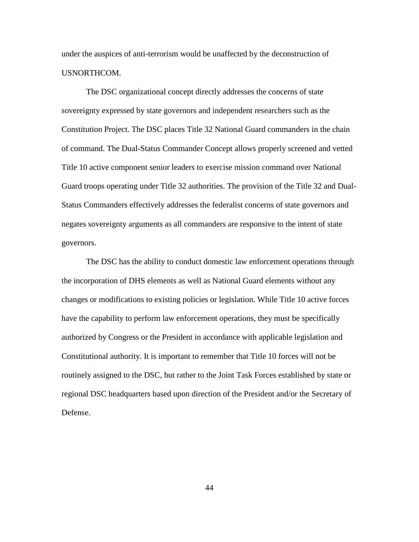under the auspices of anti-terrorism would be unaffected by the deconstruction of USNORTHCOM.

The DSC organizational concept directly addresses the concerns of state sovereignty expressed by state governors and independent researchers such as the Constitution Project. The DSC places Title 32 National Guard commanders in the chain of command. The Dual-Status Commander Concept allows properly screened and vetted Title 10 active component senior leaders to exercise mission command over National Guard troops operating under Title 32 authorities. The provision of the Title 32 and Dual-Status Commanders effectively addresses the federalist concerns of state governors and negates sovereignty arguments as all commanders are responsive to the intent of state governors.

The DSC has the ability to conduct domestic law enforcement operations through the incorporation of DHS elements as well as National Guard elements without any changes or modifications to existing policies or legislation. While Title 10 active forces have the capability to perform law enforcement operations, they must be specifically authorized by Congress or the President in accordance with applicable legislation and Constitutional authority. It is important to remember that Title 10 forces will not be routinely assigned to the DSC, but rather to the Joint Task Forces established by state or regional DSC headquarters based upon direction of the President and/or the Secretary of Defense.

44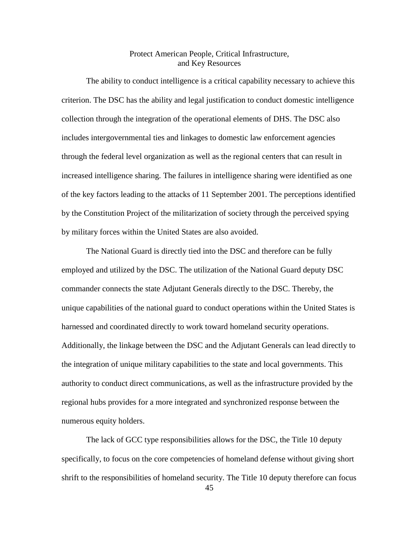# Protect American People, Critical Infrastructure, and Key Resources

The ability to conduct intelligence is a critical capability necessary to achieve this criterion. The DSC has the ability and legal justification to conduct domestic intelligence collection through the integration of the operational elements of DHS. The DSC also includes intergovernmental ties and linkages to domestic law enforcement agencies through the federal level organization as well as the regional centers that can result in increased intelligence sharing. The failures in intelligence sharing were identified as one of the key factors leading to the attacks of 11 September 2001. The perceptions identified by the Constitution Project of the militarization of society through the perceived spying by military forces within the United States are also avoided.

The National Guard is directly tied into the DSC and therefore can be fully employed and utilized by the DSC. The utilization of the National Guard deputy DSC commander connects the state Adjutant Generals directly to the DSC. Thereby, the unique capabilities of the national guard to conduct operations within the United States is harnessed and coordinated directly to work toward homeland security operations. Additionally, the linkage between the DSC and the Adjutant Generals can lead directly to the integration of unique military capabilities to the state and local governments. This authority to conduct direct communications, as well as the infrastructure provided by the regional hubs provides for a more integrated and synchronized response between the numerous equity holders.

The lack of GCC type responsibilities allows for the DSC, the Title 10 deputy specifically, to focus on the core competencies of homeland defense without giving short shrift to the responsibilities of homeland security. The Title 10 deputy therefore can focus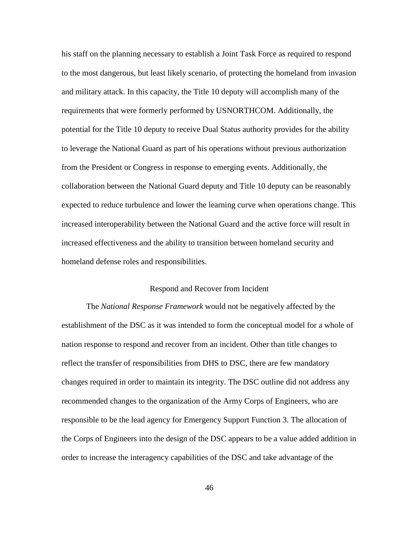his staff on the planning necessary to establish a Joint Task Force as required to respond to the most dangerous, but least likely scenario, of protecting the homeland from invasion and military attack. In this capacity, the Title 10 deputy will accomplish many of the requirements that were formerly performed by USNORTHCOM. Additionally, the potential for the Title 10 deputy to receive Dual Status authority provides for the ability to leverage the National Guard as part of his operations without previous authorization from the President or Congress in response to emerging events. Additionally, the collaboration between the National Guard deputy and Title 10 deputy can be reasonably expected to reduce turbulence and lower the learning curve when operations change. This increased interoperability between the National Guard and the active force will result in increased effectiveness and the ability to transition between homeland security and homeland defense roles and responsibilities.

#### Respond and Recover from Incident

The *National Response Framework* would not be negatively affected by the establishment of the DSC as it was intended to form the conceptual model for a whole of nation response to respond and recover from an incident. Other than title changes to reflect the transfer of responsibilities from DHS to DSC, there are few mandatory changes required in order to maintain its integrity. The DSC outline did not address any recommended changes to the organization of the Army Corps of Engineers, who are responsible to be the lead agency for Emergency Support Function 3. The allocation of the Corps of Engineers into the design of the DSC appears to be a value added addition in order to increase the interagency capabilities of the DSC and take advantage of the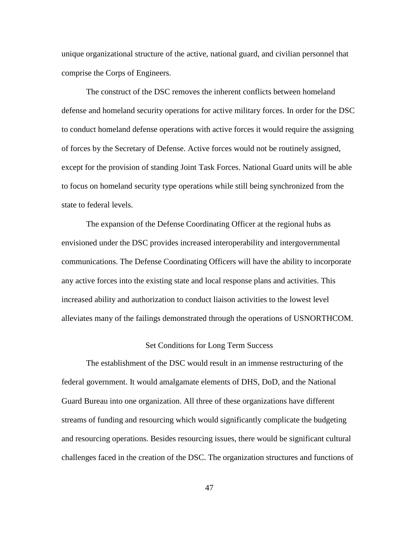unique organizational structure of the active, national guard, and civilian personnel that comprise the Corps of Engineers.

The construct of the DSC removes the inherent conflicts between homeland defense and homeland security operations for active military forces. In order for the DSC to conduct homeland defense operations with active forces it would require the assigning of forces by the Secretary of Defense. Active forces would not be routinely assigned, except for the provision of standing Joint Task Forces. National Guard units will be able to focus on homeland security type operations while still being synchronized from the state to federal levels.

The expansion of the Defense Coordinating Officer at the regional hubs as envisioned under the DSC provides increased interoperability and intergovernmental communications. The Defense Coordinating Officers will have the ability to incorporate any active forces into the existing state and local response plans and activities. This increased ability and authorization to conduct liaison activities to the lowest level alleviates many of the failings demonstrated through the operations of USNORTHCOM.

#### Set Conditions for Long Term Success

The establishment of the DSC would result in an immense restructuring of the federal government. It would amalgamate elements of DHS, DoD, and the National Guard Bureau into one organization. All three of these organizations have different streams of funding and resourcing which would significantly complicate the budgeting and resourcing operations. Besides resourcing issues, there would be significant cultural challenges faced in the creation of the DSC. The organization structures and functions of

47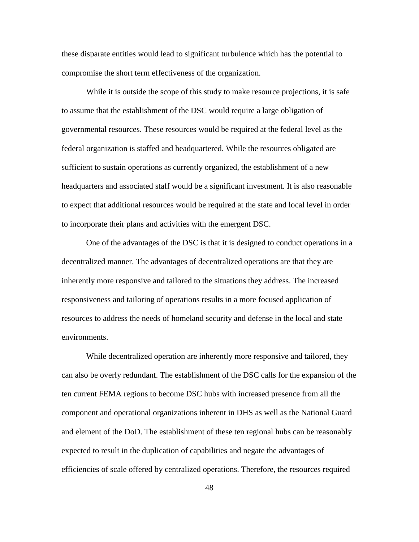these disparate entities would lead to significant turbulence which has the potential to compromise the short term effectiveness of the organization.

While it is outside the scope of this study to make resource projections, it is safe to assume that the establishment of the DSC would require a large obligation of governmental resources. These resources would be required at the federal level as the federal organization is staffed and headquartered. While the resources obligated are sufficient to sustain operations as currently organized, the establishment of a new headquarters and associated staff would be a significant investment. It is also reasonable to expect that additional resources would be required at the state and local level in order to incorporate their plans and activities with the emergent DSC.

One of the advantages of the DSC is that it is designed to conduct operations in a decentralized manner. The advantages of decentralized operations are that they are inherently more responsive and tailored to the situations they address. The increased responsiveness and tailoring of operations results in a more focused application of resources to address the needs of homeland security and defense in the local and state environments.

While decentralized operation are inherently more responsive and tailored, they can also be overly redundant. The establishment of the DSC calls for the expansion of the ten current FEMA regions to become DSC hubs with increased presence from all the component and operational organizations inherent in DHS as well as the National Guard and element of the DoD. The establishment of these ten regional hubs can be reasonably expected to result in the duplication of capabilities and negate the advantages of efficiencies of scale offered by centralized operations. Therefore, the resources required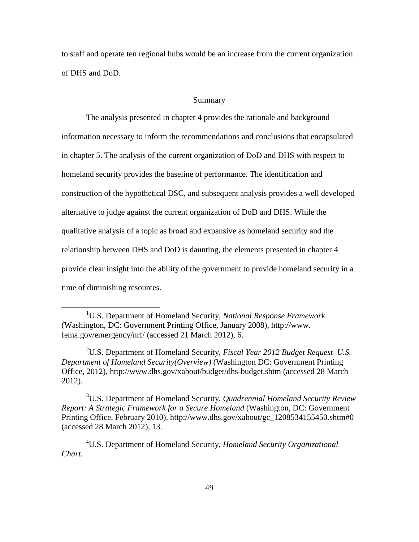to staff and operate ten regional hubs would be an increase from the current organization of DHS and DoD.

#### Summary

The analysis presented in chapter 4 provides the rationale and background information necessary to inform the recommendations and conclusions that encapsulated in chapter 5. The analysis of the current organization of DoD and DHS with respect to homeland security provides the baseline of performance. The identification and construction of the hypothetical DSC, and subsequent analysis provides a well developed alternative to judge against the current organization of DoD and DHS. While the qualitative analysis of a topic as broad and expansive as homeland security and the relationship between DHS and DoD is daunting, the elements presented in chapter 4 provide clear insight into the ability of the government to provide homeland security in a time of diminishing resources.

2 U.S. Department of Homeland Security, *Fiscal Year 2012 Budget Request–U.S. Department of Homeland Security(Overview)* (Washington DC: Government Printing Office, 2012), http://www.dhs.gov/xabout/budget/dhs-budget.shtm (accessed 28 March 2012).

3 U.S. Department of Homeland Security, *Quadrennial Homeland Security Review Report: A Strategic Framework for a Secure Homeland* (Washington, DC: Government Printing Office, February 2010), http://www.dhs.gov/xabout/gc\_1208534155450.shtm#0 (accessed 28 March 2012), 13.

4 U.S. Department of Homeland Security, *Homeland Security Organizational Chart.*

<sup>&</sup>lt;u>1</u> U.S. Department of Homeland Security, *National Response Framework*  (Washington, DC: Government Printing Office, January 2008), http://www. fema.gov/emergency/nrf/ (accessed 21 March 2012), 6.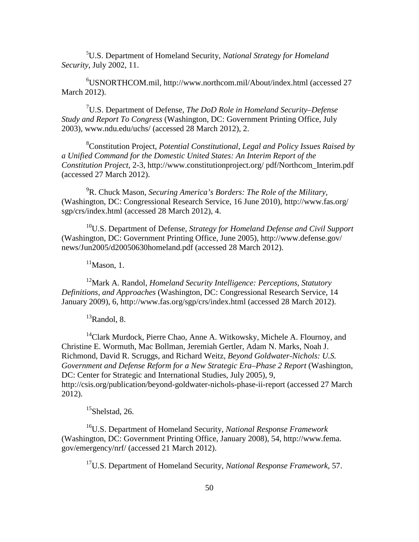5 U.S. Department of Homeland Security, *National Strategy for Homeland Security*, July 2002, 11.

6 USNORTHCOM.mil, http://www.northcom.mil/About/index.html (accessed 27 March 2012).

7 U.S. Department of Defense, *The DoD Role in Homeland Security–Defense Study and Report To Congress* (Washington, DC: Government Printing Office, July 2003), www.ndu.edu/uchs/ (accessed 28 March 2012), 2.

8 Constitution Project, *Potential Constitutional, Legal and Policy Issues Raised by a Unified Command for the Domestic United States: An Interim Report of the Constitution Project*, 2-3, http://www.constitutionproject.org/ pdf/Northcom\_Interim.pdf (accessed 27 March 2012).

9 R. Chuck Mason, *Securing America's Borders: The Role of the Military,* (Washington, DC: Congressional Research Service, 16 June 2010), http://www.fas.org/ sgp/crs/index.html (accessed 28 March 2012), 4.

10U.S. Department of Defense, *Strategy for Homeland Defense and Civil Support* (Washington, DC: Government Printing Office, June 2005), http://www.defense.gov/ news/Jun2005/d20050630homeland.pdf (accessed 28 March 2012).

 $11$ Mason, 1.

12Mark A. Randol, *Homeland Security Intelligence: Perceptions, Statutory Definitions, and Approaches* (Washington, DC: Congressional Research Service, 14 January 2009), 6, http://www.fas.org/sgp/crs/index.html (accessed 28 March 2012).

 ${}^{13}$ Randol, 8.

<sup>14</sup>Clark Murdock, Pierre Chao, Anne A. Witkowsky, Michele A. Flournoy, and Christine E. Wormuth, Mac Bollman, Jeremiah Gertler, Adam N. Marks, Noah J. Richmond, David R. Scruggs, and Richard Weitz, *Beyond Goldwater-Nichols: U.S. Government and Defense Reform for a New Strategic Era–Phase 2 Report* (Washington, DC: Center for Strategic and International Studies, July 2005), 9, http://csis.org/publication/beyond-goldwater-nichols-phase-ii-report (accessed 27 March 2012).

 $15$ Shelstad, 26.

16U.S. Department of Homeland Security, *National Response Framework*  (Washington, DC: Government Printing Office, January 2008), 54, http://www.fema. gov/emergency/nrf/ (accessed 21 March 2012).

17U.S. Department of Homeland Security, *National Response Framework*, 57.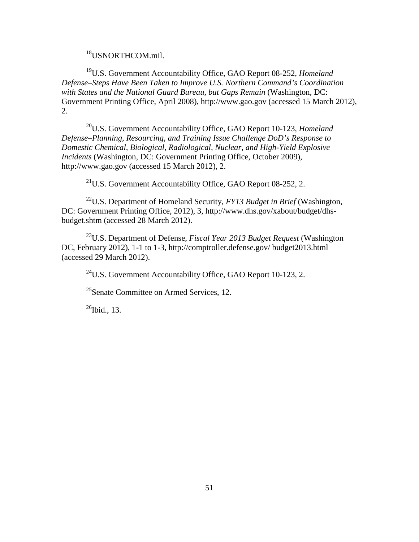<sup>18</sup>USNORTHCOM.mil.

19U.S. Government Accountability Office, GAO Report 08-252, *Homeland Defense–Steps Have Been Taken to Improve U.S. Northern Command's Coordination with States and the National Guard Bureau, but Gaps Remain* (Washington, DC: Government Printing Office, April 2008), http://www.gao.gov (accessed 15 March 2012), 2.

20U.S. Government Accountability Office, GAO Report 10-123, *Homeland Defense–Planning, Resourcing, and Training Issue Challenge DoD's Response to Domestic Chemical, Biological, Radiological, Nuclear, and High-Yield Explosive Incidents* (Washington, DC: Government Printing Office, October 2009), http://www.gao.gov (accessed 15 March 2012), 2.

 $^{21}$ U.S. Government Accountability Office, GAO Report 08-252, 2.

22U.S. Department of Homeland Security, *FY13 Budget in Brief* (Washington, DC: Government Printing Office, 2012), 3, http://www.dhs.gov/xabout/budget/dhsbudget.shtm (accessed 28 March 2012).

23U.S. Department of Defense, *Fiscal Year 2013 Budget Request* (Washington DC, February 2012), 1-1 to 1-3, http://comptroller.defense.gov/ budget2013.html (accessed 29 March 2012).

 $^{24}$ U.S. Government Accountability Office, GAO Report 10-123, 2.

 $^{25}$ Senate Committee on Armed Services, 12.

 $^{26}$ Ibid., 13.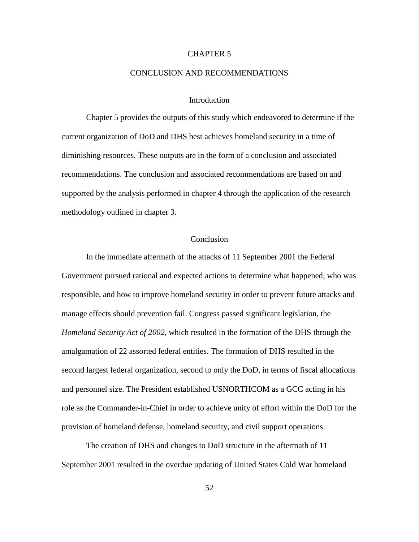# CHAPTER 5

### CONCLUSION AND RECOMMENDATIONS

## Introduction

Chapter 5 provides the outputs of this study which endeavored to determine if the current organization of DoD and DHS best achieves homeland security in a time of diminishing resources. These outputs are in the form of a conclusion and associated recommendations. The conclusion and associated recommendations are based on and supported by the analysis performed in chapter 4 through the application of the research methodology outlined in chapter 3.

## Conclusion

In the immediate aftermath of the attacks of 11 September 2001 the Federal Government pursued rational and expected actions to determine what happened, who was responsible, and how to improve homeland security in order to prevent future attacks and manage effects should prevention fail. Congress passed significant legislation, the *Homeland Security Act of 2002*, which resulted in the formation of the DHS through the amalgamation of 22 assorted federal entities. The formation of DHS resulted in the second largest federal organization, second to only the DoD, in terms of fiscal allocations and personnel size. The President established USNORTHCOM as a GCC acting in his role as the Commander-in-Chief in order to achieve unity of effort within the DoD for the provision of homeland defense, homeland security, and civil support operations.

The creation of DHS and changes to DoD structure in the aftermath of 11 September 2001 resulted in the overdue updating of United States Cold War homeland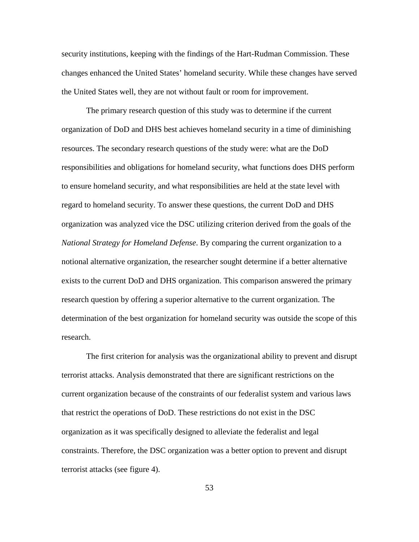security institutions, keeping with the findings of the Hart-Rudman Commission. These changes enhanced the United States' homeland security. While these changes have served the United States well, they are not without fault or room for improvement.

The primary research question of this study was to determine if the current organization of DoD and DHS best achieves homeland security in a time of diminishing resources. The secondary research questions of the study were: what are the DoD responsibilities and obligations for homeland security, what functions does DHS perform to ensure homeland security, and what responsibilities are held at the state level with regard to homeland security. To answer these questions, the current DoD and DHS organization was analyzed vice the DSC utilizing criterion derived from the goals of the *National Strategy for Homeland Defense*. By comparing the current organization to a notional alternative organization, the researcher sought determine if a better alternative exists to the current DoD and DHS organization. This comparison answered the primary research question by offering a superior alternative to the current organization. The determination of the best organization for homeland security was outside the scope of this research.

The first criterion for analysis was the organizational ability to prevent and disrupt terrorist attacks. Analysis demonstrated that there are significant restrictions on the current organization because of the constraints of our federalist system and various laws that restrict the operations of DoD. These restrictions do not exist in the DSC organization as it was specifically designed to alleviate the federalist and legal constraints. Therefore, the DSC organization was a better option to prevent and disrupt terrorist attacks (see figure 4).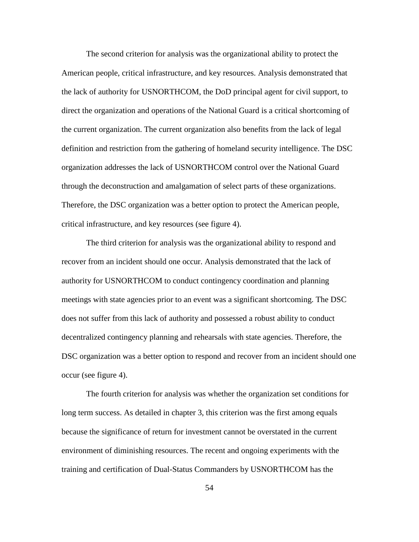The second criterion for analysis was the organizational ability to protect the American people, critical infrastructure, and key resources. Analysis demonstrated that the lack of authority for USNORTHCOM, the DoD principal agent for civil support, to direct the organization and operations of the National Guard is a critical shortcoming of the current organization. The current organization also benefits from the lack of legal definition and restriction from the gathering of homeland security intelligence. The DSC organization addresses the lack of USNORTHCOM control over the National Guard through the deconstruction and amalgamation of select parts of these organizations. Therefore, the DSC organization was a better option to protect the American people, critical infrastructure, and key resources (see figure 4).

The third criterion for analysis was the organizational ability to respond and recover from an incident should one occur. Analysis demonstrated that the lack of authority for USNORTHCOM to conduct contingency coordination and planning meetings with state agencies prior to an event was a significant shortcoming. The DSC does not suffer from this lack of authority and possessed a robust ability to conduct decentralized contingency planning and rehearsals with state agencies. Therefore, the DSC organization was a better option to respond and recover from an incident should one occur (see figure 4).

The fourth criterion for analysis was whether the organization set conditions for long term success. As detailed in chapter 3, this criterion was the first among equals because the significance of return for investment cannot be overstated in the current environment of diminishing resources. The recent and ongoing experiments with the training and certification of Dual-Status Commanders by USNORTHCOM has the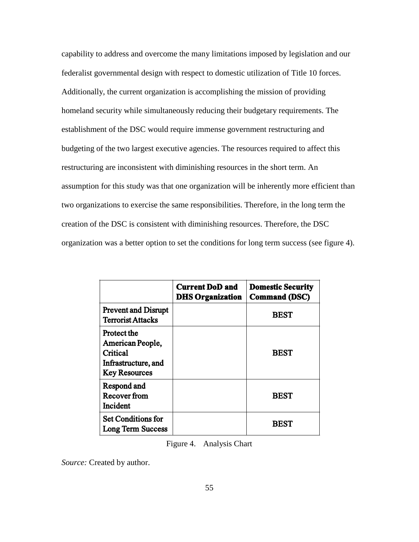capability to address and overcome the many limitations imposed by legislation and our federalist governmental design with respect to domestic utilization of Title 10 forces. Additionally, the current organization is accomplishing the mission of providing homeland security while simultaneously reducing their budgetary requirements. The establishment of the DSC would require immense government restructuring and budgeting of the two largest executive agencies. The resources required to affect this restructuring are inconsistent with diminishing resources in the short term. An assumption for this study was that one organization will be inherently more efficient than two organizations to exercise the same responsibilities. Therefore, in the long term the creation of the DSC is consistent with diminishing resources. Therefore, the DSC organization was a better option to set the conditions for long term success (see figure 4).

|                                                                                            | <b>Current DoD and</b><br><b>DHS Organization</b> | <b>Domestic Security</b><br><b>Command (DSC)</b> |
|--------------------------------------------------------------------------------------------|---------------------------------------------------|--------------------------------------------------|
| <b>Prevent and Disrupt</b><br><b>Terrorist Attacks</b>                                     |                                                   | <b>BEST</b>                                      |
| Protect the<br>American People,<br>Critical<br>Infrastructure, and<br><b>Key Resources</b> |                                                   | <b>BEST</b>                                      |
| Respond and<br><b>Recover from</b><br>Incident                                             |                                                   | <b>BEST</b>                                      |
| <b>Set Conditions for</b><br><b>Long Term Success</b>                                      |                                                   | <b>BEST</b>                                      |

Figure 4. Analysis Chart

*Source:* Created by author.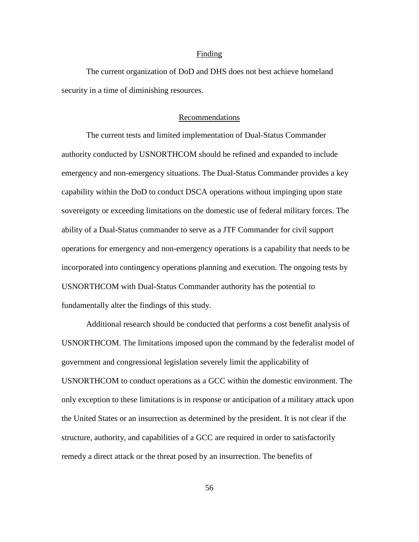#### Finding

The current organization of DoD and DHS does not best achieve homeland security in a time of diminishing resources.

### Recommendations

The current tests and limited implementation of Dual-Status Commander authority conducted by USNORTHCOM should be refined and expanded to include emergency and non-emergency situations. The Dual-Status Commander provides a key capability within the DoD to conduct DSCA operations without impinging upon state sovereignty or exceeding limitations on the domestic use of federal military forces. The ability of a Dual-Status commander to serve as a JTF Commander for civil support operations for emergency and non-emergency operations is a capability that needs to be incorporated into contingency operations planning and execution. The ongoing tests by USNORTHCOM with Dual-Status Commander authority has the potential to fundamentally alter the findings of this study.

Additional research should be conducted that performs a cost benefit analysis of USNORTHCOM. The limitations imposed upon the command by the federalist model of government and congressional legislation severely limit the applicability of USNORTHCOM to conduct operations as a GCC within the domestic environment. The only exception to these limitations is in response or anticipation of a military attack upon the United States or an insurrection as determined by the president. It is not clear if the structure, authority, and capabilities of a GCC are required in order to satisfactorily remedy a direct attack or the threat posed by an insurrection. The benefits of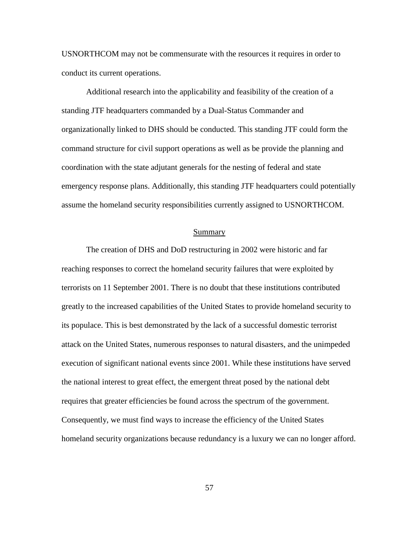USNORTHCOM may not be commensurate with the resources it requires in order to conduct its current operations.

Additional research into the applicability and feasibility of the creation of a standing JTF headquarters commanded by a Dual-Status Commander and organizationally linked to DHS should be conducted. This standing JTF could form the command structure for civil support operations as well as be provide the planning and coordination with the state adjutant generals for the nesting of federal and state emergency response plans. Additionally, this standing JTF headquarters could potentially assume the homeland security responsibilities currently assigned to USNORTHCOM.

#### Summary

The creation of DHS and DoD restructuring in 2002 were historic and far reaching responses to correct the homeland security failures that were exploited by terrorists on 11 September 2001. There is no doubt that these institutions contributed greatly to the increased capabilities of the United States to provide homeland security to its populace. This is best demonstrated by the lack of a successful domestic terrorist attack on the United States, numerous responses to natural disasters, and the unimpeded execution of significant national events since 2001. While these institutions have served the national interest to great effect, the emergent threat posed by the national debt requires that greater efficiencies be found across the spectrum of the government. Consequently, we must find ways to increase the efficiency of the United States homeland security organizations because redundancy is a luxury we can no longer afford.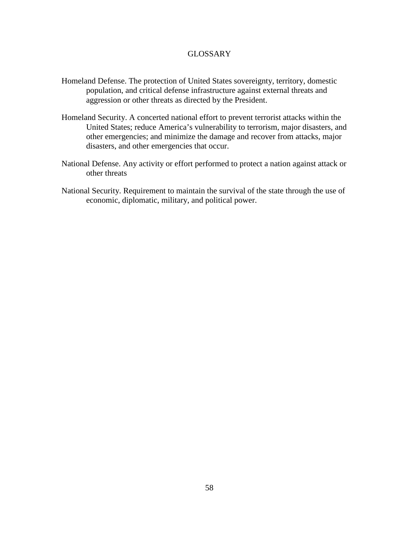# GLOSSARY

- Homeland Defense. The protection of United States sovereignty, territory, domestic population, and critical defense infrastructure against external threats and aggression or other threats as directed by the President.
- Homeland Security. A concerted national effort to prevent terrorist attacks within the United States; reduce America's vulnerability to terrorism, major disasters, and other emergencies; and minimize the damage and recover from attacks, major disasters, and other emergencies that occur.
- National Defense. Any activity or effort performed to protect a nation against attack or other threats
- National Security. Requirement to maintain the survival of the state through the use of economic, diplomatic, military, and political power.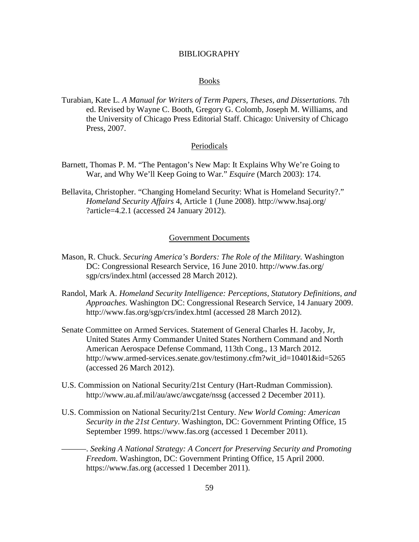### BIBLIOGRAPHY

#### Books

Turabian, Kate L. *A Manual for Writers of Term Papers, Theses, and Dissertations.* 7th ed. Revised by Wayne C. Booth, Gregory G. Colomb, Joseph M. Williams, and the University of Chicago Press Editorial Staff. Chicago: University of Chicago Press, 2007.

# Periodicals

- Barnett, Thomas P. M. "The Pentagon's New Map: It Explains Why We're Going to War, and Why We'll Keep Going to War." *Esquire* (March 2003): 174.
- Bellavita, Christopher. "Changing Homeland Security: What is Homeland Security?." *Homeland Security Affairs* 4, Article 1 (June 2008). http://www.hsaj.org/ ?article=4.2.1 (accessed 24 January 2012).

# Government Documents

- Mason, R. Chuck. *Securing America's Borders: The Role of the Military.* Washington DC: Congressional Research Service, 16 June 2010. http://www.fas.org/ sgp/crs/index.html (accessed 28 March 2012).
- Randol, Mark A. *Homeland Security Intelligence: Perceptions, Statutory Definitions, and Approaches.* Washington DC: Congressional Research Service, 14 January 2009. http://www.fas.org/sgp/crs/index.html (accessed 28 March 2012).
- Senate Committee on Armed Services. Statement of General Charles H. Jacoby, Jr, United States Army Commander United States Northern Command and North American Aerospace Defense Command, 113th Cong., 13 March 2012. http://www.armed-services.senate.gov/testimony.cfm?wit\_id=10401&id=5265 (accessed 26 March 2012).
- U.S. Commission on National Security/21st Century (Hart-Rudman Commission). http://www.au.af.mil/au/awc/awcgate/nssg (accessed 2 December 2011).
- U.S. Commission on National Security/21st Century. *New World Coming: American Security in the 21st Century*. Washington, DC: Government Printing Office, 15 September 1999. https://www.fas.org (accessed 1 December 2011).
	- ———. *Seeking A National Strategy: A Concert for Preserving Security and Promoting Freedom*. Washington, DC: Government Printing Office, 15 April 2000. https://www.fas.org (accessed 1 December 2011).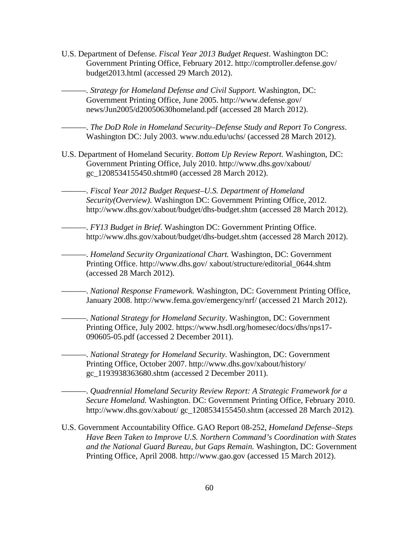U.S. Department of Defense. *Fiscal Year 2013 Budget Request*. Washington DC: Government Printing Office, February 2012. http://comptroller.defense.gov/ budget2013.html (accessed 29 March 2012).

———*. Strategy for Homeland Defense and Civil Support.* Washington, DC: Government Printing Office, June 2005. http://www.defense.gov/ news/Jun2005/d20050630homeland.pdf (accessed 28 March 2012).

———. *The DoD Role in Homeland Security–Defense Study and Report To Congress*. Washington DC: July 2003. www.ndu.edu/uchs/ (accessed 28 March 2012).

- U.S. Department of Homeland Security. *Bottom Up Review Report.* Washington, DC: Government Printing Office, July 2010. http://www.dhs.gov/xabout/ gc\_1208534155450.shtm#0 (accessed 28 March 2012).
	- ———. *Fiscal Year 2012 Budget Request–U.S. Department of Homeland Security(Overview)*. Washington DC: Government Printing Office, 2012. http://www.dhs.gov/xabout/budget/dhs-budget.shtm (accessed 28 March 2012).

———. *FY13 Budget in Brief*. Washington DC: Government Printing Office. http://www.dhs.gov/xabout/budget/dhs-budget.shtm (accessed 28 March 2012).

———. *Homeland Security Organizational Chart.* Washington, DC: Government Printing Office. http://www.dhs.gov/ xabout/structure/editorial\_0644.shtm (accessed 28 March 2012).

———. *National Response Framework.* Washington, DC: Government Printing Office, January 2008. http://www.fema.gov/emergency/nrf/ (accessed 21 March 2012).

———. *National Strategy for Homeland Security*. Washington, DC: Government Printing Office, July 2002. https://www.hsdl.org/homesec/docs/dhs/nps17- 090605-05.pdf (accessed 2 December 2011).

———. *National Strategy for Homeland Security.* Washington, DC: Government Printing Office, October 2007. http://www.dhs.gov/xabout/history/ gc\_1193938363680.shtm (accessed 2 December 2011).

———. *Quadrennial Homeland Security Review Report: A Strategic Framework for a Secure Homeland.* Washington. DC: Government Printing Office, February 2010. http://www.dhs.gov/xabout/ gc\_1208534155450.shtm (accessed 28 March 2012)*.*

U.S. Government Accountability Office. GAO Report 08-252, *Homeland Defense–Steps Have Been Taken to Improve U.S. Northern Command's Coordination with States and the National Guard Bureau, but Gaps Remain.* Washington, DC: Government Printing Office, April 2008. http://www.gao.gov (accessed 15 March 2012).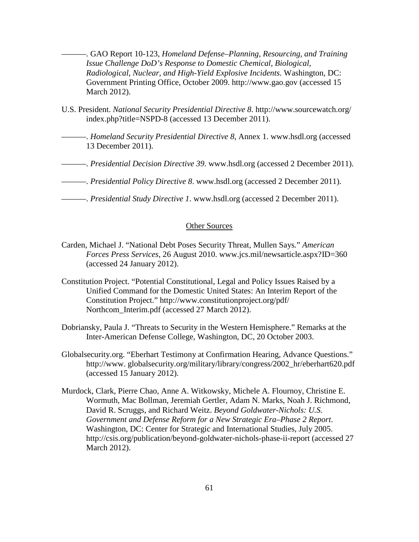———. GAO Report 10-123, *Homeland Defense–Planning, Resourcing, and Training Issue Challenge DoD's Response to Domestic Chemical, Biological, Radiological, Nuclear, and High-Yield Explosive Incidents.* Washington, DC: Government Printing Office, October 2009. http://www.gao.gov (accessed 15 March 2012).

- U.S. President. *National Security Presidential Directive 8*. http://www.sourcewatch.org/ index.php?title=NSPD-8 (accessed 13 December 2011).
	- ———. *Homeland Security Presidential Directive 8*, Annex 1. www.hsdl.org (accessed 13 December 2011).
- ———. *Presidential Decision Directive 39*. www.hsdl.org (accessed 2 December 2011).
- ———. *Presidential Policy Directive 8*. www.hsdl.org (accessed 2 December 2011).
- ———. *Presidential Study Directive 1*. www.hsdl.org (accessed 2 December 2011).

## Other Sources

- Carden, Michael J. "National Debt Poses Security Threat, Mullen Says*.*" *American Forces Press Services*, 26 August 2010. www.jcs.mil/newsarticle.aspx?ID=360 (accessed 24 January 2012).
- Constitution Project. "Potential Constitutional, Legal and Policy Issues Raised by a Unified Command for the Domestic United States: An Interim Report of the Constitution Project." http://www.constitutionproject.org/pdf/ Northcom\_Interim.pdf (accessed 27 March 2012).
- Dobriansky, Paula J. "Threats to Security in the Western Hemisphere." Remarks at the Inter-American Defense College, Washington, DC, 20 October 2003.
- Globalsecurity.org. "Eberhart Testimony at Confirmation Hearing, Advance Questions." http://www. globalsecurity.org/military/library/congress/2002\_hr/eberhart620.pdf (accessed 15 January 2012).
- Murdock, Clark, Pierre Chao, Anne A. Witkowsky, Michele A. Flournoy, Christine E. Wormuth, Mac Bollman, Jeremiah Gertler, Adam N. Marks, Noah J. Richmond, David R. Scruggs, and Richard Weitz. *Beyond Goldwater-Nichols: U.S. Government and Defense Reform for a New Strategic Era–Phase 2 Report*. Washington, DC: Center for Strategic and International Studies, July 2005. http://csis.org/publication/beyond-goldwater-nichols-phase-ii-report (accessed 27 March 2012).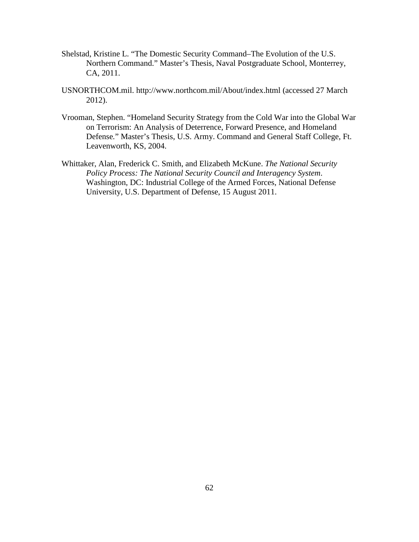- Shelstad, Kristine L. "The Domestic Security Command–The Evolution of the U.S. Northern Command." Master's Thesis, Naval Postgraduate School, Monterrey, CA, 2011.
- USNORTHCOM.mil. http://www.northcom.mil/About/index.html (accessed 27 March 2012).
- Vrooman, Stephen. "Homeland Security Strategy from the Cold War into the Global War on Terrorism: An Analysis of Deterrence, Forward Presence, and Homeland Defense*.*" Master's Thesis, U.S. Army. Command and General Staff College, Ft. Leavenworth, KS, 2004.
- Whittaker, Alan, Frederick C. Smith, and Elizabeth McKune. *The National Security Policy Process: The National Security Council and Interagency System*. Washington, DC: Industrial College of the Armed Forces, National Defense University, U.S. Department of Defense, 15 August 2011.